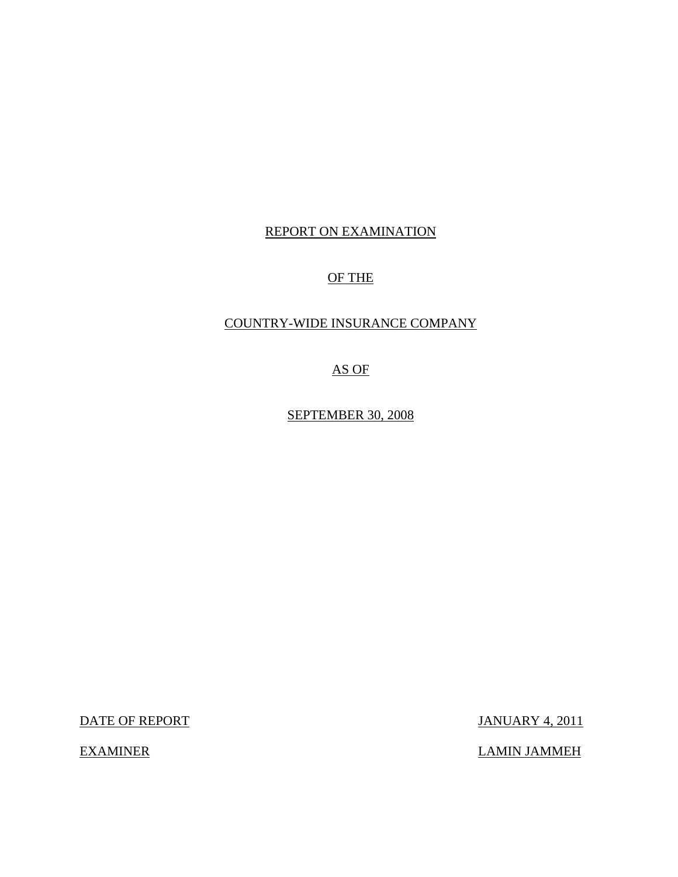## REPORT ON EXAMINATION

## OF THE

## COUNTRY-WIDE INSURANCE COMPANY

AS OF

SEPTEMBER 30, 2008

DATE OF REPORT JANUARY 4, 2011

EXAMINER LAMIN JAMMEH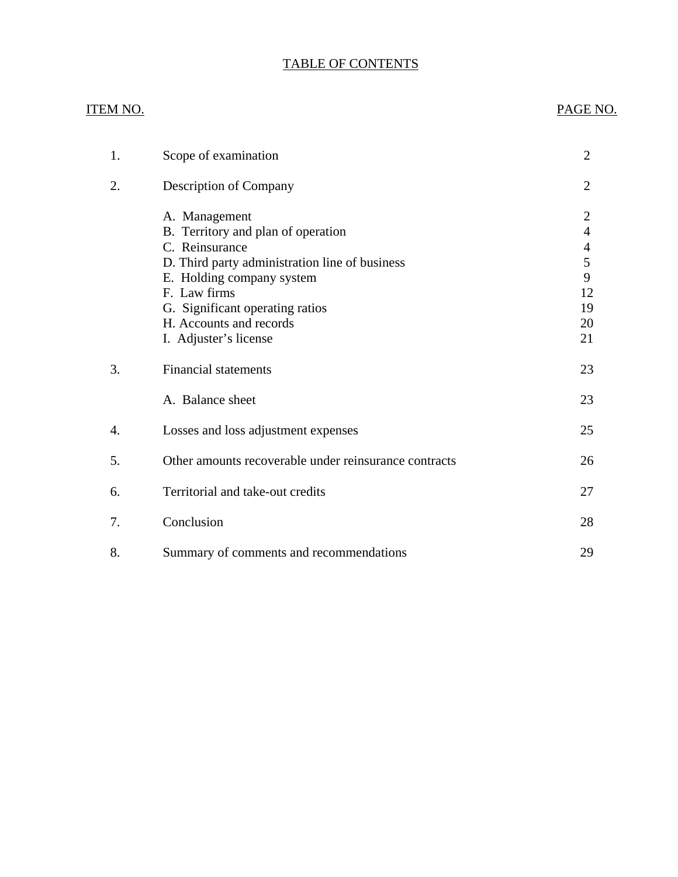# TABLE OF CONTENTS

| <u>ITEM NO.</u> |                                                       | PAGE NO.       |
|-----------------|-------------------------------------------------------|----------------|
|                 |                                                       |                |
| 1.              | Scope of examination                                  | $\overline{2}$ |
| 2.              | Description of Company                                | $\overline{2}$ |
|                 | A. Management                                         | $\mathbf{2}$   |
|                 | B. Territory and plan of operation                    | $\overline{4}$ |
|                 | C. Reinsurance                                        | $\overline{4}$ |
|                 | D. Third party administration line of business        | 5              |
|                 | E. Holding company system                             | 9              |
|                 | F. Law firms                                          | 12             |
|                 | G. Significant operating ratios                       | 19             |
|                 | H. Accounts and records                               | 20             |
|                 | I. Adjuster's license                                 | 21             |
| 3.              | <b>Financial statements</b>                           | 23             |
|                 | A. Balance sheet                                      | 23             |
| 4.              | Losses and loss adjustment expenses                   | 25             |
| 5.              | Other amounts recoverable under reinsurance contracts | 26             |
| 6.              | Territorial and take-out credits                      | 27             |
| 7.              | Conclusion                                            | 28             |
| 8.              | Summary of comments and recommendations               | 29             |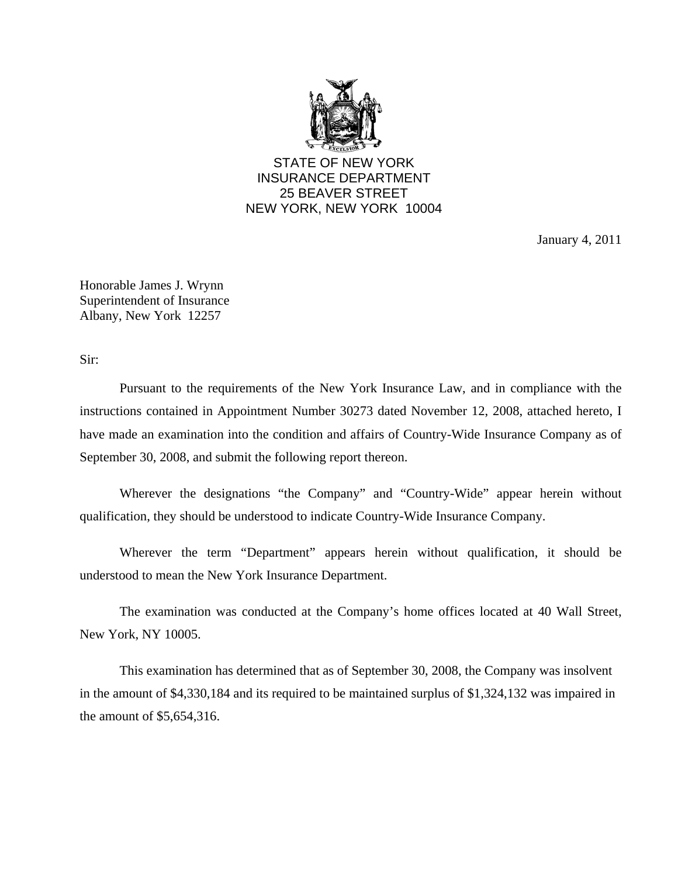

STATE OF NEW YORK INSURANCE DEPARTMENT 25 BEAVER STREET NEW YORK, NEW YORK 10004

January 4, 2011

Honorable James J. Wrynn Superintendent of Insurance Albany, New York 12257

Sir:

Pursuant to the requirements of the New York Insurance Law, and in compliance with the instructions contained in Appointment Number 30273 dated November 12, 2008, attached hereto, I have made an examination into the condition and affairs of Country-Wide Insurance Company as of September 30, 2008, and submit the following report thereon.

Wherever the designations "the Company" and "Country-Wide" appear herein without qualification, they should be understood to indicate Country-Wide Insurance Company.

Wherever the term "Department" appears herein without qualification, it should be understood to mean the New York Insurance Department.

The examination was conducted at the Company's home offices located at 40 Wall Street, New York, NY 10005.

This examination has determined that as of September 30, 2008, the Company was insolvent in the amount of \$4,330,184 and its required to be maintained surplus of \$1,324,132 was impaired in the amount of \$5,654,316.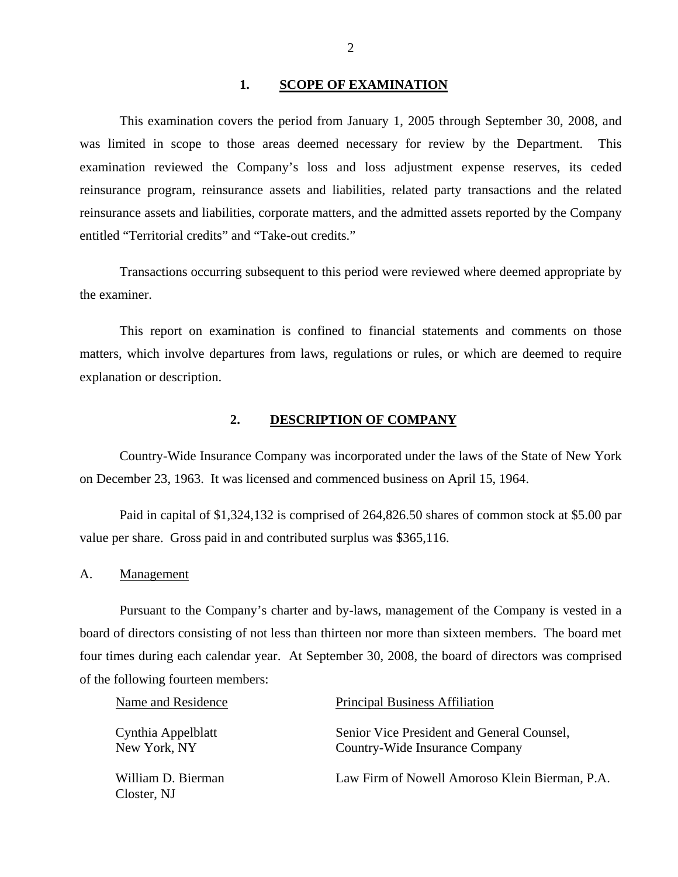#### 1. SCOPE OF EXAMINATION

<span id="page-3-0"></span>This examination covers the period from January 1, 2005 through September 30, 2008, and was limited in scope to those areas deemed necessary for review by the Department. This examination reviewed the Company's loss and loss adjustment expense reserves, its ceded reinsurance program, reinsurance assets and liabilities, related party transactions and the related reinsurance assets and liabilities, corporate matters, and the admitted assets reported by the Company entitled "Territorial credits" and "Take-out credits."

Transactions occurring subsequent to this period were reviewed where deemed appropriate by the examiner.

This report on examination is confined to financial statements and comments on those matters, which involve departures from laws, regulations or rules, or which are deemed to require explanation or description.

## **2. DESCRIPTION OF COMPANY**

Country-Wide Insurance Company was incorporated under the laws of the State of New York on December 23, 1963. It was licensed and commenced business on April 15, 1964.

Paid in capital of \$1,324,132 is comprised of [264,826.50](https://264,826.50) shares of common stock at \$5.00 par value per share. Gross paid in and contributed surplus was \$365,116.

A. Management

Pursuant to the Company's charter and by-laws, management of the Company is vested in a board of directors consisting of not less than thirteen nor more than sixteen members. The board met four times during each calendar year. At September 30, 2008, the board of directors was comprised of the following fourteen members:

| Name and Residence                 | <b>Principal Business Affiliation</b>                                        |
|------------------------------------|------------------------------------------------------------------------------|
| Cynthia Appelblatt<br>New York, NY | Senior Vice President and General Counsel,<br>Country-Wide Insurance Company |
| William D. Bierman<br>Closter, NJ  | Law Firm of Nowell Amoroso Klein Bierman, P.A.                               |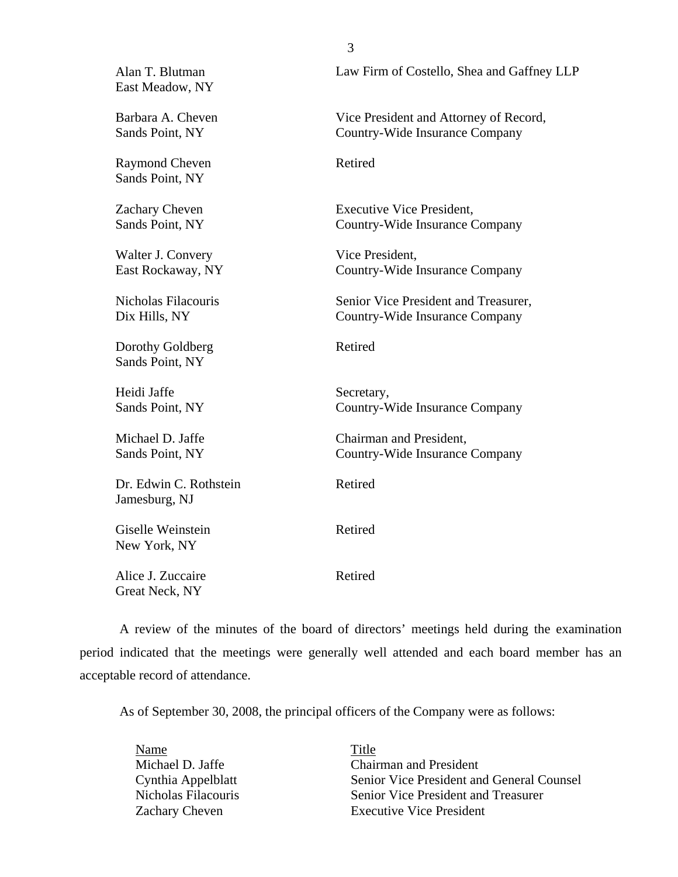| Alan T. Blutman<br>East Meadow, NY       | Law Firm of Costello, Shea and Gaffney LLP                               |
|------------------------------------------|--------------------------------------------------------------------------|
| Barbara A. Cheven<br>Sands Point, NY     | Vice President and Attorney of Record,<br>Country-Wide Insurance Company |
| <b>Raymond Cheven</b><br>Sands Point, NY | Retired                                                                  |
| Zachary Cheven<br>Sands Point, NY        | <b>Executive Vice President,</b><br>Country-Wide Insurance Company       |
| Walter J. Convery<br>East Rockaway, NY   | Vice President,<br>Country-Wide Insurance Company                        |
| Nicholas Filacouris<br>Dix Hills, NY     | Senior Vice President and Treasurer,<br>Country-Wide Insurance Company   |
| Dorothy Goldberg<br>Sands Point, NY      | Retired                                                                  |
| Heidi Jaffe<br>Sands Point, NY           | Secretary,<br>Country-Wide Insurance Company                             |
| Michael D. Jaffe<br>Sands Point, NY      | Chairman and President,<br>Country-Wide Insurance Company                |
| Dr. Edwin C. Rothstein<br>Jamesburg, NJ  | Retired                                                                  |
| Giselle Weinstein<br>New York, NY        | Retired                                                                  |
| Alice J. Zuccaire<br>Great Neck, NY      | Retired                                                                  |

3

A review of the minutes of the board of directors' meetings held during the examination period indicated that the meetings were generally well attended and each board member has an acceptable record of attendance.

As of September 30, 2008, the principal officers of the Company were as follows:

| Name                | Title                                     |
|---------------------|-------------------------------------------|
| Michael D. Jaffe    | <b>Chairman and President</b>             |
| Cynthia Appelblatt  | Senior Vice President and General Counsel |
| Nicholas Filacouris | Senior Vice President and Treasurer       |
| Zachary Cheven      | <b>Executive Vice President</b>           |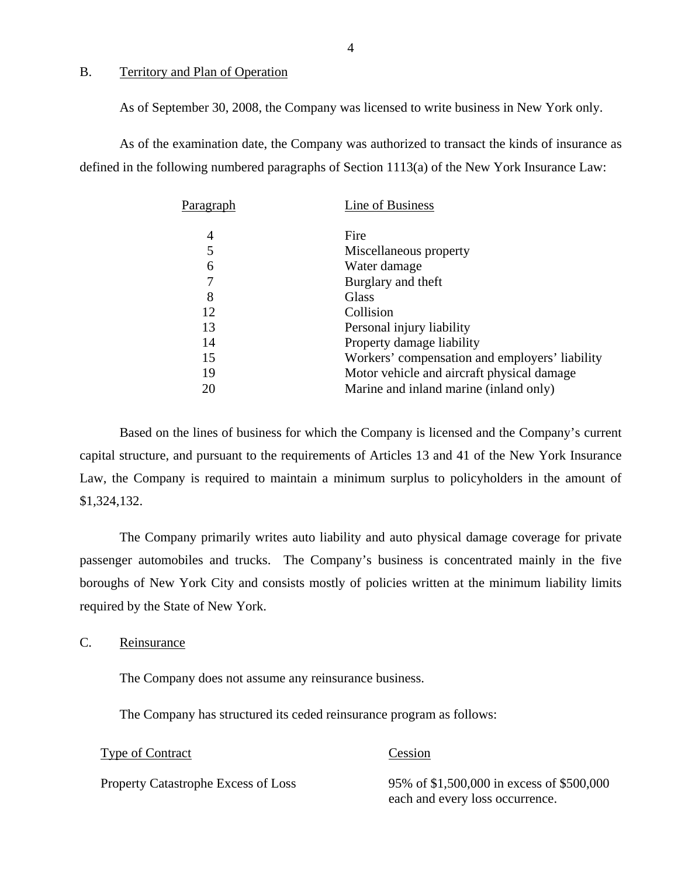## <span id="page-5-0"></span>B. Territory and Plan of Operation

As of September 30, 2008, the Company was licensed to write business in New York only.

As of the examination date, the Company was authorized to transact the kinds of insurance as defined in the following numbered paragraphs of Section 1113(a) of the New York Insurance Law:

| Paragraph | Line of Business                               |
|-----------|------------------------------------------------|
| 4         | Fire                                           |
| 5         | Miscellaneous property                         |
| 6         | Water damage                                   |
| 7         | Burglary and theft                             |
| 8         | Glass                                          |
| 12        | Collision                                      |
| 13        | Personal injury liability                      |
| 14        | Property damage liability                      |
| 15        | Workers' compensation and employers' liability |
| 19        | Motor vehicle and aircraft physical damage     |
| 20        | Marine and inland marine (inland only)         |
|           |                                                |

Based on the lines of business for which the Company is licensed and the Company's current capital structure, and pursuant to the requirements of Articles 13 and 41 of the New York Insurance Law, the Company is required to maintain a minimum surplus to policyholders in the amount of \$1,324,132.

The Company primarily writes auto liability and auto physical damage coverage for private passenger automobiles and trucks. The Company's business is concentrated mainly in the five boroughs of New York City and consists mostly of policies written at the minimum liability limits required by the State of New York.

C. Reinsurance

The Company does not assume any reinsurance business.

The Company has structured its ceded reinsurance program as follows:

#### Type of Contract Cession

Property Catastrophe Excess of Loss 95% of \$1,500,000 in excess of \$500,000 each and every loss occurrence.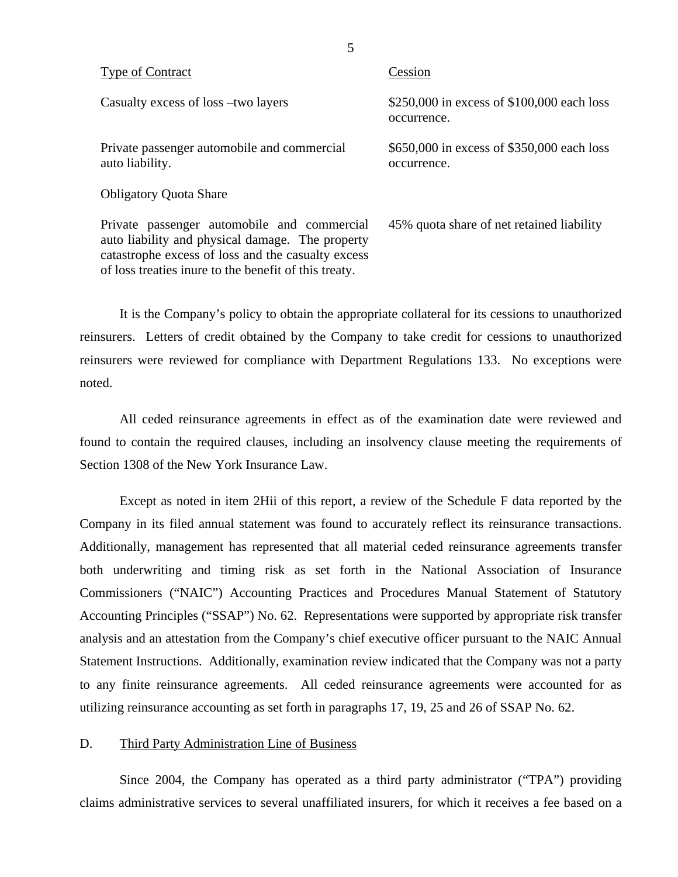| <b>Type of Contract</b>                                                                                                                                                                                  | Cession                                                   |
|----------------------------------------------------------------------------------------------------------------------------------------------------------------------------------------------------------|-----------------------------------------------------------|
| Casualty excess of loss -two layers                                                                                                                                                                      | \$250,000 in excess of \$100,000 each loss<br>occurrence. |
| Private passenger automobile and commercial<br>auto liability.                                                                                                                                           | \$650,000 in excess of \$350,000 each loss<br>occurrence. |
| <b>Obligatory Quota Share</b>                                                                                                                                                                            |                                                           |
| Private passenger automobile and commercial<br>auto liability and physical damage. The property<br>catastrophe excess of loss and the casualty excess<br>of loss treaties in the benefit of this treaty. | 45% quota share of net retained liability                 |

It is the Company's policy to obtain the appropriate collateral for its cessions to unauthorized reinsurers. Letters of credit obtained by the Company to take credit for cessions to unauthorized reinsurers were reviewed for compliance with Department Regulations 133. No exceptions were noted.

All ceded reinsurance agreements in effect as of the examination date were reviewed and found to contain the required clauses, including an insolvency clause meeting the requirements of Section 1308 of the New York Insurance Law.

Except as noted in item 2Hii of this report, a review of the Schedule F data reported by the Company in its filed annual statement was found to accurately reflect its reinsurance transactions. Additionally, management has represented that all material ceded reinsurance agreements transfer both underwriting and timing risk as set forth in the National Association of Insurance Commissioners ("NAIC") Accounting Practices and Procedures Manual Statement of Statutory Accounting Principles ("SSAP") No. 62. Representations were supported by appropriate risk transfer analysis and an attestation from the Company's chief executive officer pursuant to the NAIC Annual Statement Instructions. Additionally, examination review indicated that the Company was not a party to any finite reinsurance agreements. All ceded reinsurance agreements were accounted for as utilizing reinsurance accounting as set forth in paragraphs 17, 19, 25 and 26 of SSAP No. 62.

## D. Third Party Administration Line of Business

Since 2004, the Company has operated as a third party administrator ("TPA") providing claims administrative services to several unaffiliated insurers, for which it receives a fee based on a

5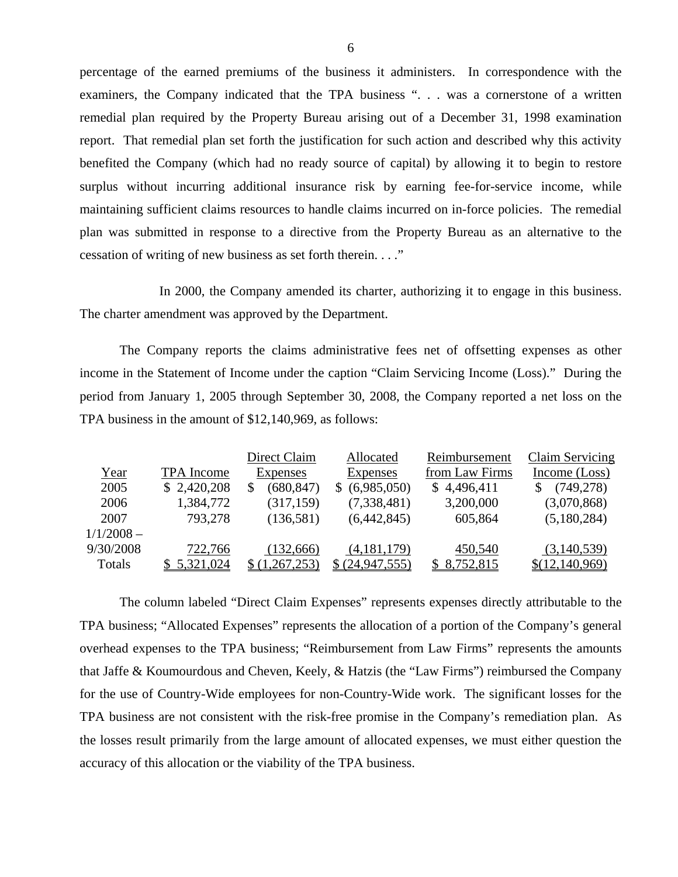percentage of the earned premiums of the business it administers. In correspondence with the examiners, the Company indicated that the TPA business ". . . was a cornerstone of a written remedial plan required by the Property Bureau arising out of a December 31, 1998 examination report. That remedial plan set forth the justification for such action and described why this activity benefited the Company (which had no ready source of capital) by allowing it to begin to restore surplus without incurring additional insurance risk by earning fee-for-service income, while maintaining sufficient claims resources to handle claims incurred on in-force policies. The remedial plan was submitted in response to a directive from the Property Bureau as an alternative to the cessation of writing of new business as set forth therein. . . ."

In 2000, the Company amended its charter, authorizing it to engage in this business. The charter amendment was approved by the Department.

The Company reports the claims administrative fees net of offsetting expenses as other income in the Statement of Income under the caption "Claim Servicing Income (Loss)." During the period from January 1, 2005 through September 30, 2008, the Company reported a net loss on the TPA business in the amount of \$12,140,969, as follows:

|              |             | Direct Claim    | Allocated         | Reimbursement  | Claim Servicing |
|--------------|-------------|-----------------|-------------------|----------------|-----------------|
| Year         | TPA Income  | <b>Expenses</b> | <b>Expenses</b>   | from Law Firms | Income (Loss)   |
| 2005         | \$2,420,208 | (680, 847)      | (6,985,050)<br>S. | \$4,496,411    | (749, 278)      |
| 2006         | 1,384,772   | (317, 159)      | (7,338,481)       | 3,200,000      | (3,070,868)     |
| 2007         | 793,278     | (136,581)       | (6,442,845)       | 605,864        | (5,180,284)     |
| $1/1/2008 -$ |             |                 |                   |                |                 |
| 9/30/2008    | 722,766     | (132,666)       | (4,181,179)       | 450,540        | (3,140,539)     |
| Totals       | \$5,321,024 | \$ (1,267,253)  | \$ (24, 947, 555) | 8,752,815      | \$(12,140,969)  |

The column labeled "Direct Claim Expenses" represents expenses directly attributable to the TPA business; "Allocated Expenses" represents the allocation of a portion of the Company's general overhead expenses to the TPA business; "Reimbursement from Law Firms" represents the amounts that Jaffe & Koumourdous and Cheven, Keely, & Hatzis (the "Law Firms") reimbursed the Company for the use of Country-Wide employees for non-Country-Wide work. The significant losses for the TPA business are not consistent with the risk-free promise in the Company's remediation plan. As the losses result primarily from the large amount of allocated expenses, we must either question the accuracy of this allocation or the viability of the TPA business.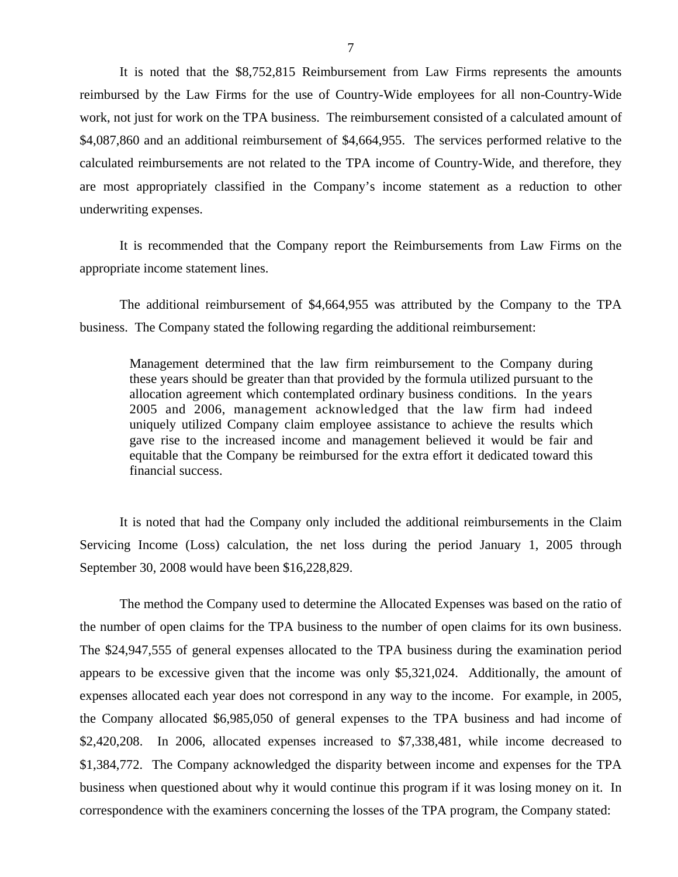It is noted that the \$8,752,815 Reimbursement from Law Firms represents the amounts reimbursed by the Law Firms for the use of Country-Wide employees for all non-Country-Wide work, not just for work on the TPA business. The reimbursement consisted of a calculated amount of \$4,087,860 and an additional reimbursement of \$4,664,955. The services performed relative to the calculated reimbursements are not related to the TPA income of Country-Wide, and therefore, they are most appropriately classified in the Company's income statement as a reduction to other underwriting expenses.

It is recommended that the Company report the Reimbursements from Law Firms on the appropriate income statement lines.

The additional reimbursement of \$4,664,955 was attributed by the Company to the TPA business. The Company stated the following regarding the additional reimbursement:

Management determined that the law firm reimbursement to the Company during these years should be greater than that provided by the formula utilized pursuant to the allocation agreement which contemplated ordinary business conditions. In the years 2005 and 2006, management acknowledged that the law firm had indeed uniquely utilized Company claim employee assistance to achieve the results which gave rise to the increased income and management believed it would be fair and equitable that the Company be reimbursed for the extra effort it dedicated toward this financial success.

It is noted that had the Company only included the additional reimbursements in the Claim Servicing Income (Loss) calculation, the net loss during the period January 1, 2005 through September 30, 2008 would have been \$16,228,829.

The method the Company used to determine the Allocated Expenses was based on the ratio of the number of open claims for the TPA business to the number of open claims for its own business. The \$24,947,555 of general expenses allocated to the TPA business during the examination period appears to be excessive given that the income was only \$5,321,024. Additionally, the amount of expenses allocated each year does not correspond in any way to the income. For example, in 2005, the Company allocated \$6,985,050 of general expenses to the TPA business and had income of \$2,420,208. In 2006, allocated expenses increased to \$7,338,481, while income decreased to \$1,384,772. The Company acknowledged the disparity between income and expenses for the TPA business when questioned about why it would continue this program if it was losing money on it. In correspondence with the examiners concerning the losses of the TPA program, the Company stated: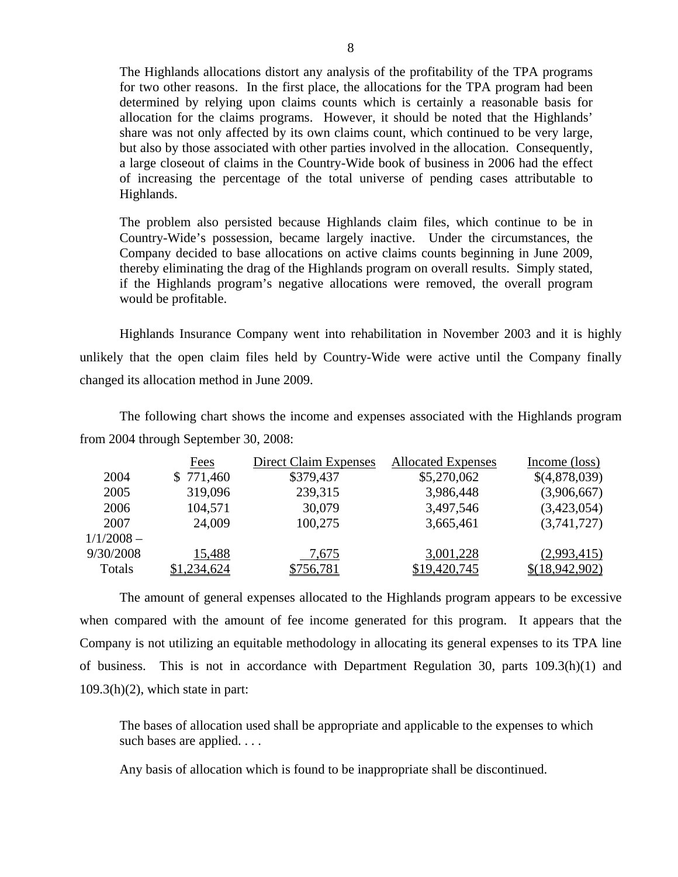The Highlands allocations distort any analysis of the profitability of the TPA programs for two other reasons. In the first place, the allocations for the TPA program had been determined by relying upon claims counts which is certainly a reasonable basis for allocation for the claims programs. However, it should be noted that the Highlands' share was not only affected by its own claims count, which continued to be very large, but also by those associated with other parties involved in the allocation. Consequently, a large closeout of claims in the Country-Wide book of business in 2006 had the effect of increasing the percentage of the total universe of pending cases attributable to Highlands.

The problem also persisted because Highlands claim files, which continue to be in Country-Wide's possession, became largely inactive. Under the circumstances, the Company decided to base allocations on active claims counts beginning in June 2009, thereby eliminating the drag of the Highlands program on overall results. Simply stated, if the Highlands program's negative allocations were removed, the overall program would be profitable.

Highlands Insurance Company went into rehabilitation in November 2003 and it is highly unlikely that the open claim files held by Country-Wide were active until the Company finally changed its allocation method in June 2009.

The following chart shows the income and expenses associated with the Highlands program from 2004 through September 30, 2008:

|              | Fees        | Direct Claim Expenses | <b>Allocated Expenses</b> | Income (loss)  |
|--------------|-------------|-----------------------|---------------------------|----------------|
| 2004         | \$771,460   | \$379,437             | \$5,270,062               | \$(4,878,039)  |
| 2005         | 319,096     | 239,315               | 3,986,448                 | (3,906,667)    |
| 2006         | 104,571     | 30,079                | 3,497,546                 | (3,423,054)    |
| 2007         | 24,009      | 100,275               | 3,665,461                 | (3,741,727)    |
| $1/1/2008 -$ |             |                       |                           |                |
| 9/30/2008    | 15,488      | 7,675                 | 3,001,228                 | (2,993,415)    |
| Totals       | \$1,234,624 | \$756,781             | \$19,420,745              | \$(18,942,902) |

The amount of general expenses allocated to the Highlands program appears to be excessive when compared with the amount of fee income generated for this program. It appears that the Company is not utilizing an equitable methodology in allocating its general expenses to its TPA line of business. This is not in accordance with Department Regulation 30, parts 109.3(h)(1) and  $109.3(h)(2)$ , which state in part:

The bases of allocation used shall be appropriate and applicable to the expenses to which such bases are applied. . . .

Any basis of allocation which is found to be inappropriate shall be discontinued.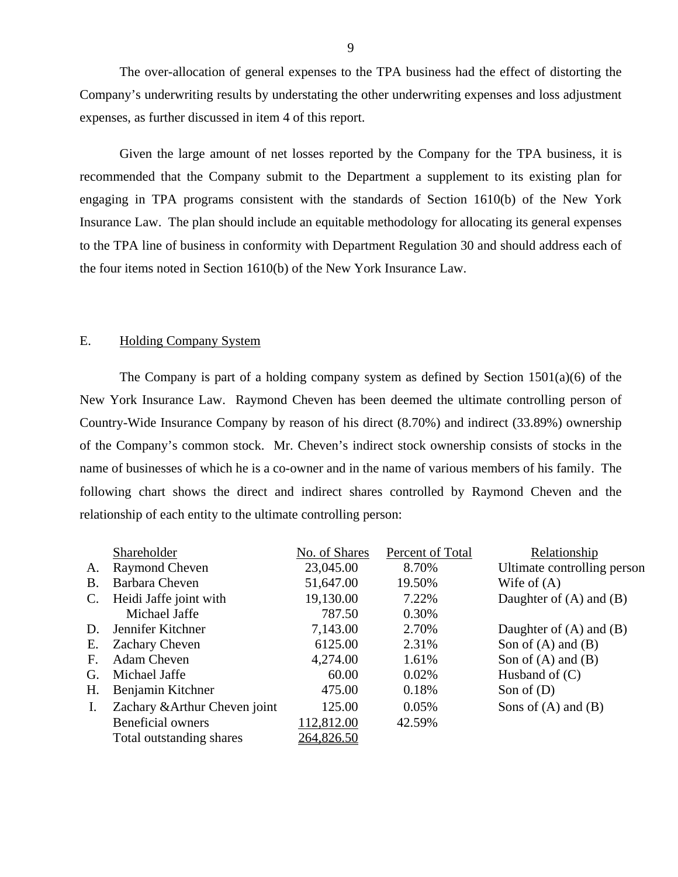<span id="page-10-0"></span>The over-allocation of general expenses to the TPA business had the effect of distorting the Company's underwriting results by understating the other underwriting expenses and loss adjustment expenses, as further discussed in item 4 of this report.

Given the large amount of net losses reported by the Company for the TPA business, it is recommended that the Company submit to the Department a supplement to its existing plan for engaging in TPA programs consistent with the standards of Section 1610(b) of the New York Insurance Law. The plan should include an equitable methodology for allocating its general expenses to the TPA line of business in conformity with Department Regulation 30 and should address each of the four items noted in Section 1610(b) of the New York Insurance Law.

## E. Holding Company System

The Company is part of a holding company system as defined by Section 1501(a)(6) of the New York Insurance Law. Raymond Cheven has been deemed the ultimate controlling person of Country-Wide Insurance Company by reason of his direct (8.70%) and indirect (33.89%) ownership of the Company's common stock. Mr. Cheven's indirect stock ownership consists of stocks in the name of businesses of which he is a co-owner and in the name of various members of his family. The following chart shows the direct and indirect shares controlled by Raymond Cheven and the relationship of each entity to the ultimate controlling person:

|                | Shareholder                   | No. of Shares | Percent of Total | Relationship                |
|----------------|-------------------------------|---------------|------------------|-----------------------------|
| A.             | <b>Raymond Cheven</b>         | 23,045.00     | 8.70%            | Ultimate controlling person |
| <b>B.</b>      | Barbara Cheven                | 51,647.00     | 19.50%           | Wife of $(A)$               |
| $\mathbf{C}$ . | Heidi Jaffe joint with        | 19,130.00     | 7.22%            | Daughter of $(A)$ and $(B)$ |
|                | Michael Jaffe                 | 787.50        | 0.30%            |                             |
| D.             | Jennifer Kitchner             | 7,143.00      | 2.70%            | Daughter of $(A)$ and $(B)$ |
| Е.             | Zachary Cheven                | 6125.00       | 2.31%            | Son of $(A)$ and $(B)$      |
| $\mathbf{F}$ . | Adam Cheven                   | 4,274.00      | 1.61%            | Son of $(A)$ and $(B)$      |
| G.             | Michael Jaffe                 | 60.00         | 0.02%            | Husband of $(C)$            |
| Η.             | Benjamin Kitchner             | 475.00        | 0.18%            | Son of $(D)$                |
| Ι.             | Zachary & Arthur Cheven joint | 125.00        | 0.05%            | Sons of $(A)$ and $(B)$     |
|                | <b>Beneficial owners</b>      | 112,812.00    | 42.59%           |                             |
|                | Total outstanding shares      | 264,826.50    |                  |                             |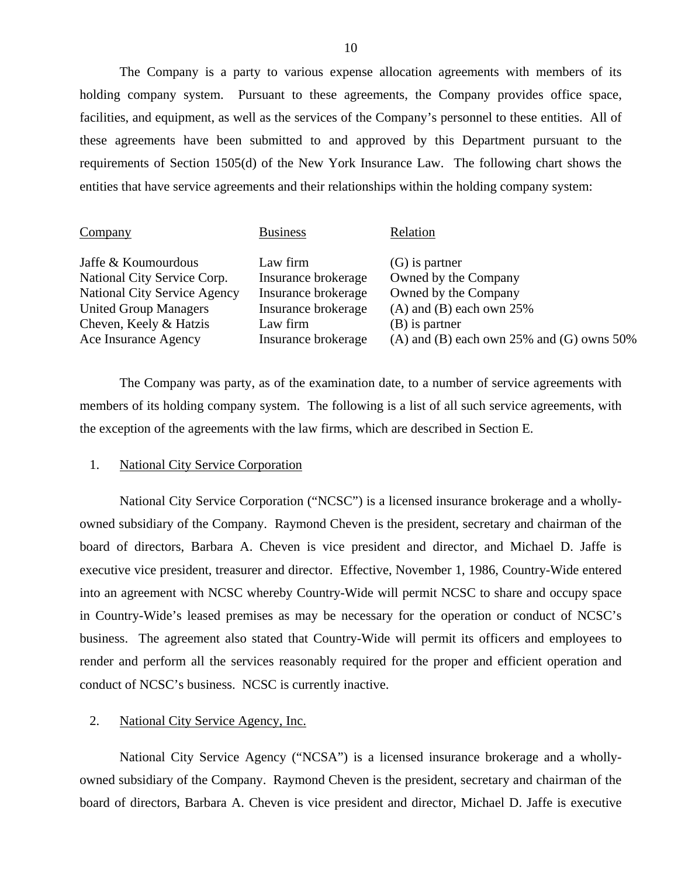The Company is a party to various expense allocation agreements with members of its holding company system. Pursuant to these agreements, the Company provides office space, facilities, and equipment, as well as the services of the Company's personnel to these entities. All of these agreements have been submitted to and approved by this Department pursuant to the requirements of Section 1505(d) of the New York Insurance Law. The following chart shows the entities that have service agreements and their relationships within the holding company system:

| Company                             | <b>Business</b>     | Relation                                        |
|-------------------------------------|---------------------|-------------------------------------------------|
| Jaffe & Koumourdous                 | Law firm            | $(G)$ is partner                                |
| National City Service Corp.         | Insurance brokerage | Owned by the Company                            |
| <b>National City Service Agency</b> | Insurance brokerage | Owned by the Company                            |
| <b>United Group Managers</b>        | Insurance brokerage | $(A)$ and $(B)$ each own 25%                    |
| Cheven, Keely & Hatzis              | Law firm            | (B) is partner                                  |
| Ace Insurance Agency                | Insurance brokerage | (A) and (B) each own $25\%$ and (G) owns $50\%$ |

The Company was party, as of the examination date, to a number of service agreements with members of its holding company system. The following is a list of all such service agreements, with the exception of the agreements with the law firms, which are described in Section E.

## 1. National City Service Corporation

National City Service Corporation ("NCSC") is a licensed insurance brokerage and a whollyowned subsidiary of the Company. Raymond Cheven is the president, secretary and chairman of the board of directors, Barbara A. Cheven is vice president and director, and Michael D. Jaffe is executive vice president, treasurer and director. Effective, November 1, 1986, Country-Wide entered into an agreement with NCSC whereby Country-Wide will permit NCSC to share and occupy space in Country-Wide's leased premises as may be necessary for the operation or conduct of NCSC's business. The agreement also stated that Country-Wide will permit its officers and employees to render and perform all the services reasonably required for the proper and efficient operation and conduct of NCSC's business. NCSC is currently inactive.

## 2. National City Service Agency, Inc.

National City Service Agency ("NCSA") is a licensed insurance brokerage and a whollyowned subsidiary of the Company. Raymond Cheven is the president, secretary and chairman of the board of directors, Barbara A. Cheven is vice president and director, Michael D. Jaffe is executive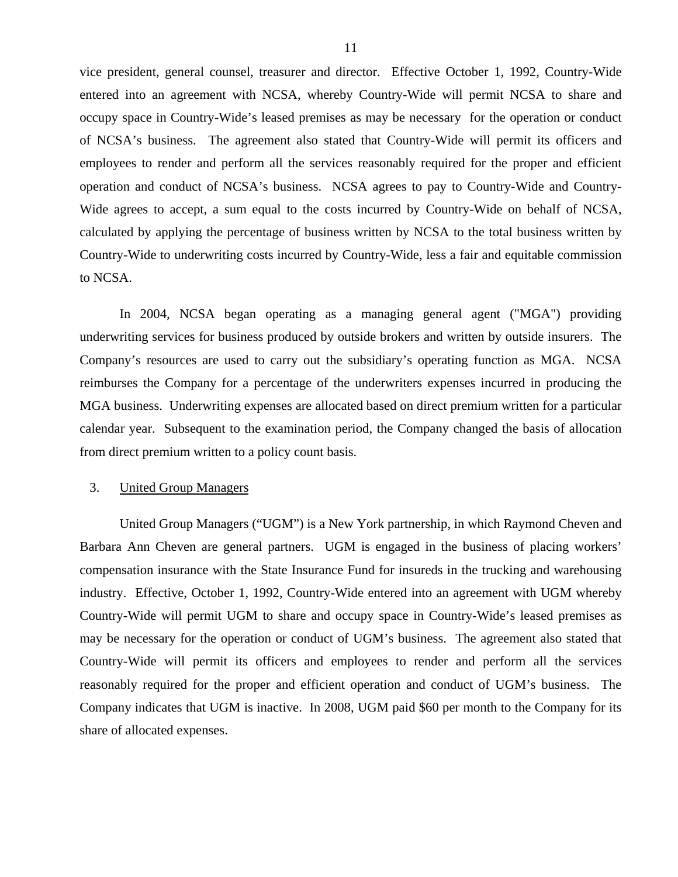vice president, general counsel, treasurer and director. Effective October 1, 1992, Country-Wide entered into an agreement with NCSA, whereby Country-Wide will permit NCSA to share and occupy space in Country-Wide's leased premises as may be necessary for the operation or conduct of NCSA's business. The agreement also stated that Country-Wide will permit its officers and employees to render and perform all the services reasonably required for the proper and efficient operation and conduct of NCSA's business. NCSA agrees to pay to Country-Wide and Country-Wide agrees to accept, a sum equal to the costs incurred by Country-Wide on behalf of NCSA, calculated by applying the percentage of business written by NCSA to the total business written by Country-Wide to underwriting costs incurred by Country-Wide, less a fair and equitable commission to NCSA.

In 2004, NCSA began operating as a managing general agent ("MGA") providing underwriting services for business produced by outside brokers and written by outside insurers. The Company's resources are used to carry out the subsidiary's operating function as MGA. NCSA reimburses the Company for a percentage of the underwriters expenses incurred in producing the MGA business. Underwriting expenses are allocated based on direct premium written for a particular calendar year. Subsequent to the examination period, the Company changed the basis of allocation from direct premium written to a policy count basis.

## 3. United Group Managers

United Group Managers ("UGM") is a New York partnership, in which Raymond Cheven and Barbara Ann Cheven are general partners. UGM is engaged in the business of placing workers' compensation insurance with the State Insurance Fund for insureds in the trucking and warehousing industry. Effective, October 1, 1992, Country-Wide entered into an agreement with UGM whereby Country-Wide will permit UGM to share and occupy space in Country-Wide's leased premises as may be necessary for the operation or conduct of UGM's business. The agreement also stated that Country-Wide will permit its officers and employees to render and perform all the services reasonably required for the proper and efficient operation and conduct of UGM's business. The Company indicates that UGM is inactive. In 2008, UGM paid \$60 per month to the Company for its share of allocated expenses.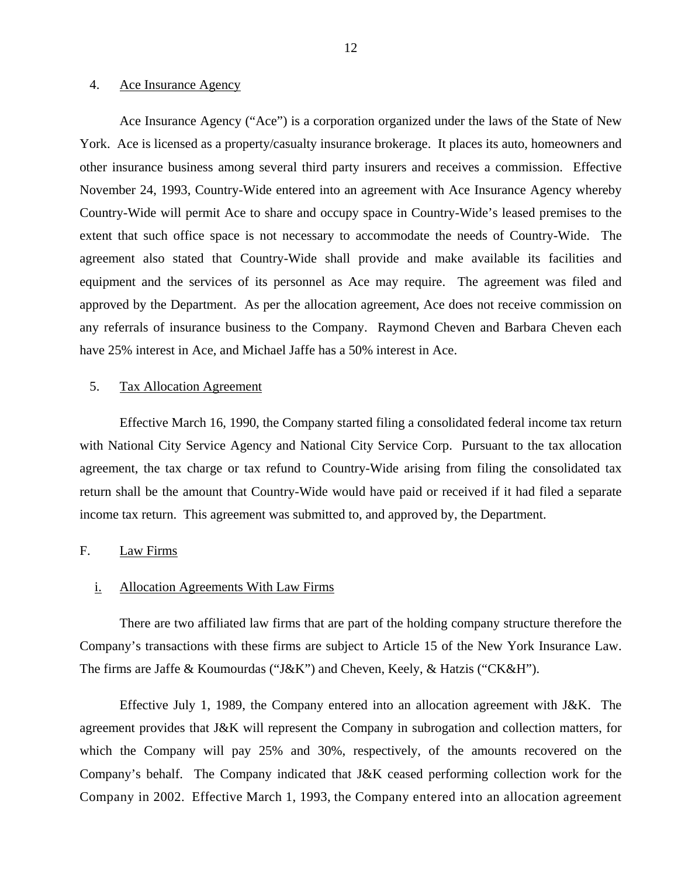#### <span id="page-13-0"></span>4. Ace Insurance Agency

Ace Insurance Agency ("Ace") is a corporation organized under the laws of the State of New York. Ace is licensed as a property/casualty insurance brokerage. It places its auto, homeowners and other insurance business among several third party insurers and receives a commission. Effective November 24, 1993, Country-Wide entered into an agreement with Ace Insurance Agency whereby Country-Wide will permit Ace to share and occupy space in Country-Wide's leased premises to the extent that such office space is not necessary to accommodate the needs of Country-Wide. The agreement also stated that Country-Wide shall provide and make available its facilities and equipment and the services of its personnel as Ace may require. The agreement was filed and approved by the Department. As per the allocation agreement, Ace does not receive commission on any referrals of insurance business to the Company. Raymond Cheven and Barbara Cheven each have 25% interest in Ace, and Michael Jaffe has a 50% interest in Ace.

## 5. Tax Allocation Agreement

Effective March 16, 1990, the Company started filing a consolidated federal income tax return with National City Service Agency and National City Service Corp. Pursuant to the tax allocation agreement, the tax charge or tax refund to Country-Wide arising from filing the consolidated tax return shall be the amount that Country-Wide would have paid or received if it had filed a separate income tax return. This agreement was submitted to, and approved by, the Department.

## F. Law Firms

## i. Allocation Agreements With Law Firms

There are two affiliated law firms that are part of the holding company structure therefore the Company's transactions with these firms are subject to Article 15 of the New York Insurance Law. The firms are Jaffe & Koumourdas ("J&K") and Cheven, Keely, & Hatzis ("CK&H").

Effective July 1, 1989, the Company entered into an allocation agreement with J&K. The agreement provides that J&K will represent the Company in subrogation and collection matters, for which the Company will pay 25% and 30%, respectively, of the amounts recovered on the Company's behalf. The Company indicated that J&K ceased performing collection work for the Company in 2002. Effective March 1, 1993, the Company entered into an allocation agreement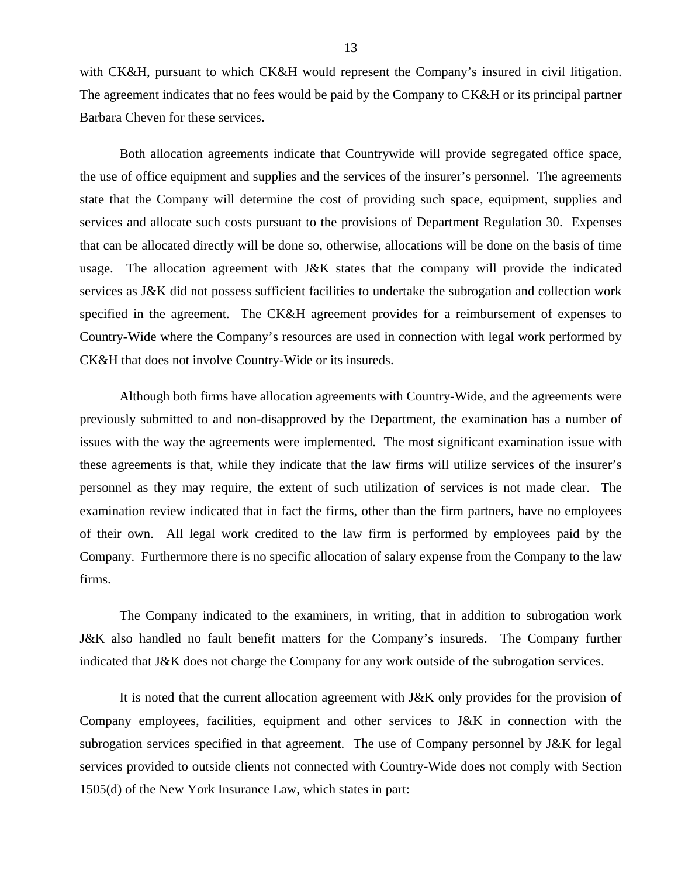with CK&H, pursuant to which CK&H would represent the Company's insured in civil litigation. The agreement indicates that no fees would be paid by the Company to CK&H or its principal partner Barbara Cheven for these services.

Both allocation agreements indicate that Countrywide will provide segregated office space, the use of office equipment and supplies and the services of the insurer's personnel. The agreements state that the Company will determine the cost of providing such space, equipment, supplies and services and allocate such costs pursuant to the provisions of Department Regulation 30. Expenses that can be allocated directly will be done so, otherwise, allocations will be done on the basis of time usage. The allocation agreement with J&K states that the company will provide the indicated services as J&K did not possess sufficient facilities to undertake the subrogation and collection work specified in the agreement. The CK&H agreement provides for a reimbursement of expenses to Country-Wide where the Company's resources are used in connection with legal work performed by CK&H that does not involve Country-Wide or its insureds.

Although both firms have allocation agreements with Country-Wide, and the agreements were previously submitted to and non-disapproved by the Department, the examination has a number of issues with the way the agreements were implemented. The most significant examination issue with these agreements is that, while they indicate that the law firms will utilize services of the insurer's personnel as they may require, the extent of such utilization of services is not made clear. The examination review indicated that in fact the firms, other than the firm partners, have no employees of their own. All legal work credited to the law firm is performed by employees paid by the Company. Furthermore there is no specific allocation of salary expense from the Company to the law firms.

The Company indicated to the examiners, in writing, that in addition to subrogation work J&K also handled no fault benefit matters for the Company's insureds. The Company further indicated that J&K does not charge the Company for any work outside of the subrogation services.

It is noted that the current allocation agreement with J&K only provides for the provision of Company employees, facilities, equipment and other services to J&K in connection with the subrogation services specified in that agreement. The use of Company personnel by J&K for legal services provided to outside clients not connected with Country-Wide does not comply with Section 1505(d) of the New York Insurance Law, which states in part: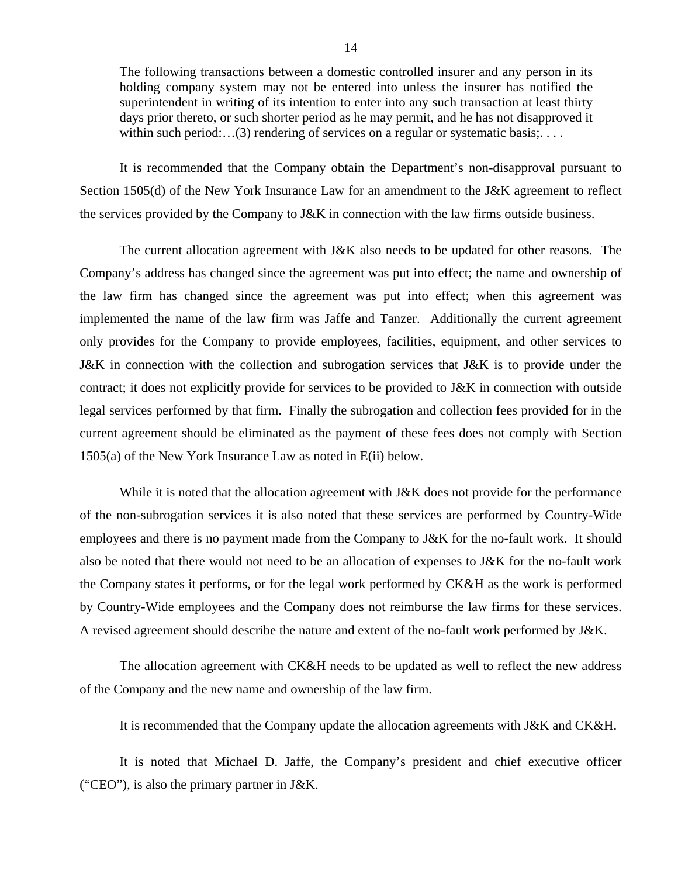The following transactions between a domestic controlled insurer and any person in its holding company system may not be entered into unless the insurer has notified the superintendent in writing of its intention to enter into any such transaction at least thirty days prior thereto, or such shorter period as he may permit, and he has not disapproved it within such period:...(3) rendering of services on a regular or systematic basis;....

It is recommended that the Company obtain the Department's non-disapproval pursuant to Section 1505(d) of the New York Insurance Law for an amendment to the J&K agreement to reflect the services provided by the Company to J&K in connection with the law firms outside business.

The current allocation agreement with J&K also needs to be updated for other reasons. The Company's address has changed since the agreement was put into effect; the name and ownership of the law firm has changed since the agreement was put into effect; when this agreement was implemented the name of the law firm was Jaffe and Tanzer. Additionally the current agreement only provides for the Company to provide employees, facilities, equipment, and other services to J&K in connection with the collection and subrogation services that J&K is to provide under the contract; it does not explicitly provide for services to be provided to J&K in connection with outside legal services performed by that firm. Finally the subrogation and collection fees provided for in the current agreement should be eliminated as the payment of these fees does not comply with Section 1505(a) of the New York Insurance Law as noted in E(ii) below.

While it is noted that the allocation agreement with J&K does not provide for the performance of the non-subrogation services it is also noted that these services are performed by Country-Wide employees and there is no payment made from the Company to J&K for the no-fault work. It should also be noted that there would not need to be an allocation of expenses to J&K for the no-fault work the Company states it performs, or for the legal work performed by CK&H as the work is performed by Country-Wide employees and the Company does not reimburse the law firms for these services. A revised agreement should describe the nature and extent of the no-fault work performed by J&K.

The allocation agreement with CK&H needs to be updated as well to reflect the new address of the Company and the new name and ownership of the law firm.

It is recommended that the Company update the allocation agreements with J&K and CK&H.

It is noted that Michael D. Jaffe, the Company's president and chief executive officer ("CEO"), is also the primary partner in J&K.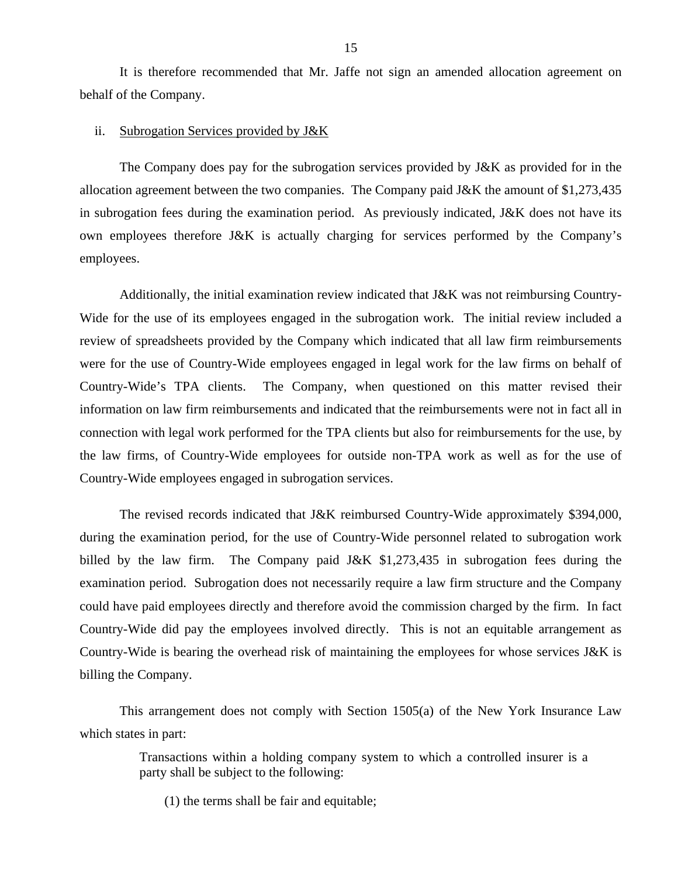It is therefore recommended that Mr. Jaffe not sign an amended allocation agreement on behalf of the Company.

#### ii. Subrogation Services provided by J&K

The Company does pay for the subrogation services provided by J&K as provided for in the allocation agreement between the two companies. The Company paid J&K the amount of \$1,273,435 in subrogation fees during the examination period. As previously indicated, J&K does not have its own employees therefore J&K is actually charging for services performed by the Company's employees.

Additionally, the initial examination review indicated that J&K was not reimbursing Country-Wide for the use of its employees engaged in the subrogation work. The initial review included a review of spreadsheets provided by the Company which indicated that all law firm reimbursements were for the use of Country-Wide employees engaged in legal work for the law firms on behalf of Country-Wide's TPA clients. The Company, when questioned on this matter revised their information on law firm reimbursements and indicated that the reimbursements were not in fact all in connection with legal work performed for the TPA clients but also for reimbursements for the use, by the law firms, of Country-Wide employees for outside non-TPA work as well as for the use of Country-Wide employees engaged in subrogation services.

The revised records indicated that J&K reimbursed Country-Wide approximately \$394,000, during the examination period, for the use of Country-Wide personnel related to subrogation work billed by the law firm. The Company paid J&K \$1,273,435 in subrogation fees during the examination period. Subrogation does not necessarily require a law firm structure and the Company could have paid employees directly and therefore avoid the commission charged by the firm. In fact Country-Wide did pay the employees involved directly. This is not an equitable arrangement as Country-Wide is bearing the overhead risk of maintaining the employees for whose services J&K is billing the Company.

This arrangement does not comply with Section 1505(a) of the New York Insurance Law which states in part:

> Transactions within a holding company system to which a controlled insurer is a party shall be subject to the following:

(1) the terms shall be fair and equitable;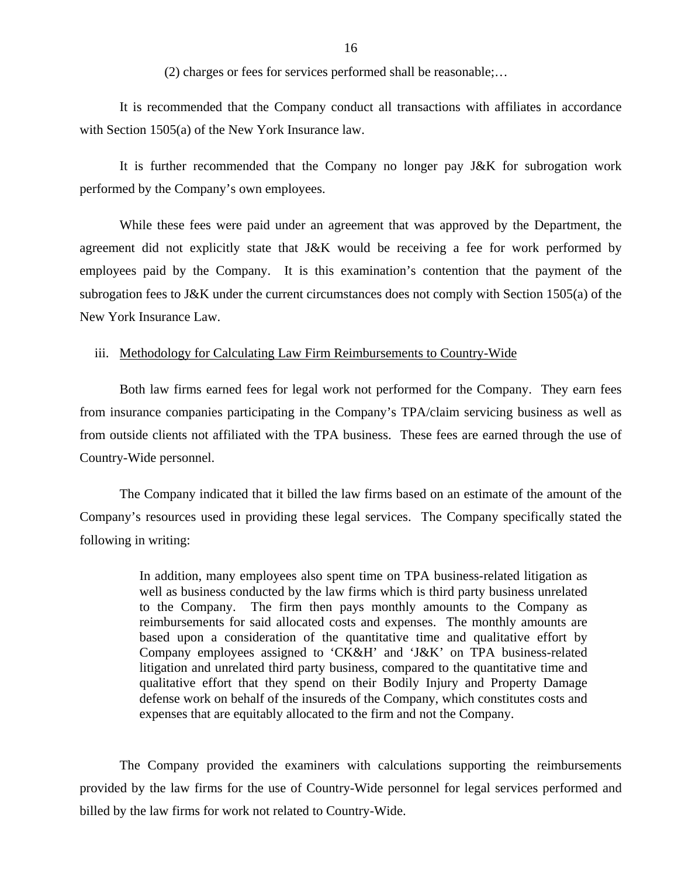(2) charges or fees for services performed shall be reasonable;…

It is recommended that the Company conduct all transactions with affiliates in accordance with Section 1505(a) of the New York Insurance law.

It is further recommended that the Company no longer pay J&K for subrogation work performed by the Company's own employees.

While these fees were paid under an agreement that was approved by the Department, the agreement did not explicitly state that J&K would be receiving a fee for work performed by employees paid by the Company. It is this examination's contention that the payment of the subrogation fees to J&K under the current circumstances does not comply with Section 1505(a) of the New York Insurance Law.

## iii. Methodology for Calculating Law Firm Reimbursements to Country-Wide

Both law firms earned fees for legal work not performed for the Company. They earn fees from insurance companies participating in the Company's TPA/claim servicing business as well as from outside clients not affiliated with the TPA business. These fees are earned through the use of Country-Wide personnel.

The Company indicated that it billed the law firms based on an estimate of the amount of the Company's resources used in providing these legal services. The Company specifically stated the following in writing:

> In addition, many employees also spent time on TPA business-related litigation as well as business conducted by the law firms which is third party business unrelated to the Company. The firm then pays monthly amounts to the Company as reimbursements for said allocated costs and expenses. The monthly amounts are based upon a consideration of the quantitative time and qualitative effort by Company employees assigned to 'CK&H' and 'J&K' on TPA business-related litigation and unrelated third party business, compared to the quantitative time and qualitative effort that they spend on their Bodily Injury and Property Damage defense work on behalf of the insureds of the Company, which constitutes costs and expenses that are equitably allocated to the firm and not the Company.

The Company provided the examiners with calculations supporting the reimbursements provided by the law firms for the use of Country-Wide personnel for legal services performed and billed by the law firms for work not related to Country-Wide.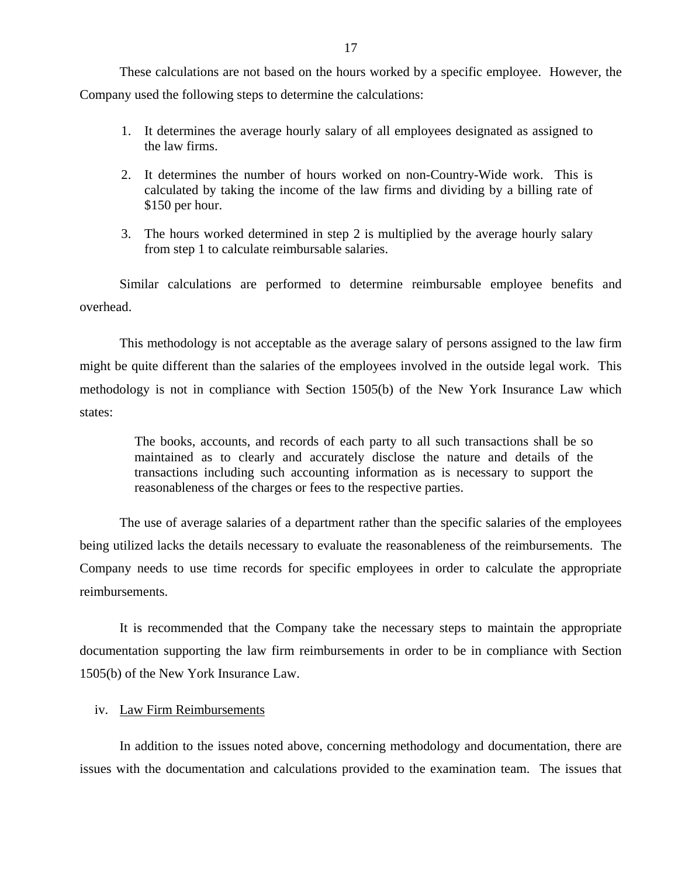These calculations are not based on the hours worked by a specific employee. However, the Company used the following steps to determine the calculations:

- 1. It determines the average hourly salary of all employees designated as assigned to the law firms.
- 2. It determines the number of hours worked on non-Country-Wide work. This is calculated by taking the income of the law firms and dividing by a billing rate of \$150 per hour.
- 3. The hours worked determined in step 2 is multiplied by the average hourly salary from step 1 to calculate reimbursable salaries.

Similar calculations are performed to determine reimbursable employee benefits and overhead.

This methodology is not acceptable as the average salary of persons assigned to the law firm might be quite different than the salaries of the employees involved in the outside legal work. This methodology is not in compliance with Section 1505(b) of the New York Insurance Law which states:

The books, accounts, and records of each party to all such transactions shall be so maintained as to clearly and accurately disclose the nature and details of the transactions including such accounting information as is necessary to support the reasonableness of the charges or fees to the respective parties.

The use of average salaries of a department rather than the specific salaries of the employees being utilized lacks the details necessary to evaluate the reasonableness of the reimbursements. The Company needs to use time records for specific employees in order to calculate the appropriate reimbursements.

It is recommended that the Company take the necessary steps to maintain the appropriate documentation supporting the law firm reimbursements in order to be in compliance with Section 1505(b) of the New York Insurance Law.

## iv. Law Firm Reimbursements

In addition to the issues noted above, concerning methodology and documentation, there are issues with the documentation and calculations provided to the examination team. The issues that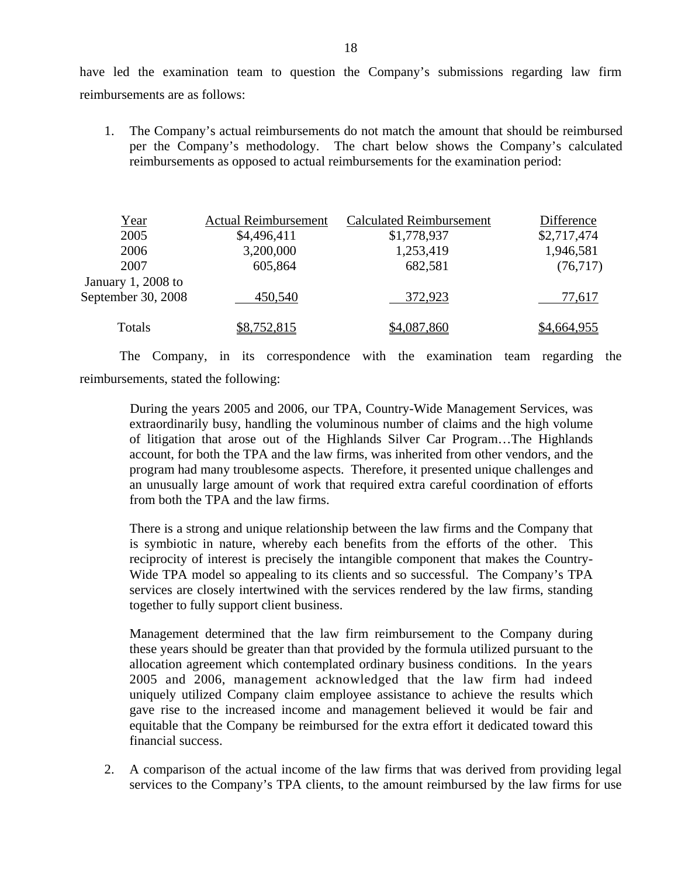have led the examination team to question the Company's submissions regarding law firm reimbursements are as follows:

1. The Company's actual reimbursements do not match the amount that should be reimbursed per the Company's methodology. The chart below shows the Company's calculated reimbursements as opposed to actual reimbursements for the examination period:

| <u>Year</u>         | <b>Actual Reimbursement</b> | <b>Calculated Reimbursement</b> | Difference  |
|---------------------|-----------------------------|---------------------------------|-------------|
| 2005                | \$4,496,411                 | \$1,778,937                     | \$2,717,474 |
| 2006                | 3,200,000                   | 1,253,419                       | 1,946,581   |
| 2007                | 605,864                     | 682,581                         | (76, 717)   |
| January $1,2008$ to |                             |                                 |             |
| September 30, 2008  | 450,540                     | 372,923                         | 77,617      |
| Totals              | \$8,752,815                 | \$4,087,860                     | \$4,664,955 |

The Company, in its correspondence with the examination team regarding the reimbursements, stated the following:

During the years 2005 and 2006, our TPA, Country-Wide Management Services, was extraordinarily busy, handling the voluminous number of claims and the high volume of litigation that arose out of the Highlands Silver Car Program…The Highlands account, for both the TPA and the law firms, was inherited from other vendors, and the program had many troublesome aspects. Therefore, it presented unique challenges and an unusually large amount of work that required extra careful coordination of efforts from both the TPA and the law firms.

There is a strong and unique relationship between the law firms and the Company that is symbiotic in nature, whereby each benefits from the efforts of the other. This reciprocity of interest is precisely the intangible component that makes the Country-Wide TPA model so appealing to its clients and so successful. The Company's TPA services are closely intertwined with the services rendered by the law firms, standing together to fully support client business.

Management determined that the law firm reimbursement to the Company during these years should be greater than that provided by the formula utilized pursuant to the allocation agreement which contemplated ordinary business conditions. In the years 2005 and 2006, management acknowledged that the law firm had indeed uniquely utilized Company claim employee assistance to achieve the results which gave rise to the increased income and management believed it would be fair and equitable that the Company be reimbursed for the extra effort it dedicated toward this financial success.

2. A comparison of the actual income of the law firms that was derived from providing legal services to the Company's TPA clients, to the amount reimbursed by the law firms for use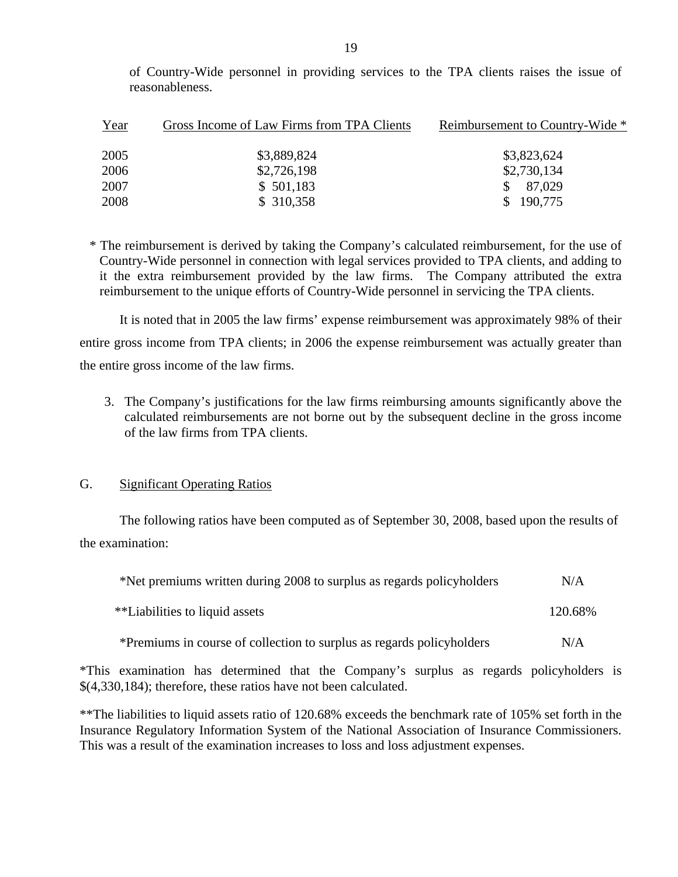of Country-Wide personnel in providing services to the TPA clients raises the issue of reasonableness.

| Year | Gross Income of Law Firms from TPA Clients | Reimbursement to Country-Wide * |
|------|--------------------------------------------|---------------------------------|
| 2005 | \$3,889,824                                | \$3,823,624                     |
| 2006 | \$2,726,198                                | \$2,730,134                     |
| 2007 | \$501,183                                  | 87,029                          |
| 2008 | \$310,358                                  | 190,775                         |

\* The reimbursement is derived by taking the Company's calculated reimbursement, for the use of Country-Wide personnel in connection with legal services provided to TPA clients, and adding to it the extra reimbursement provided by the law firms. The Company attributed the extra reimbursement to the unique efforts of Country-Wide personnel in servicing the TPA clients.

It is noted that in 2005 the law firms' expense reimbursement was approximately 98% of their entire gross income from TPA clients; in 2006 the expense reimbursement was actually greater than the entire gross income of the law firms.

3. The Company's justifications for the law firms reimbursing amounts significantly above the calculated reimbursements are not borne out by the subsequent decline in the gross income of the law firms from TPA clients.

## G. Significant Operating Ratios

The following ratios have been computed as of September 30, 2008, based upon the results of the examination:

| *Net premiums written during 2008 to surplus as regards policyholders | N/A     |  |
|-----------------------------------------------------------------------|---------|--|
| **Liabilities to liquid assets                                        | 120.68% |  |
| *Premiums in course of collection to surplus as regards policyholders | N/A     |  |

\*This examination has determined that the Company's surplus as regards policyholders is \$(4,330,184); therefore, these ratios have not been calculated.

\*\*The liabilities to liquid assets ratio of 120.68% exceeds the benchmark rate of 105% set forth in the Insurance Regulatory Information System of the National Association of Insurance Commissioners. This was a result of the examination increases to loss and loss adjustment expenses.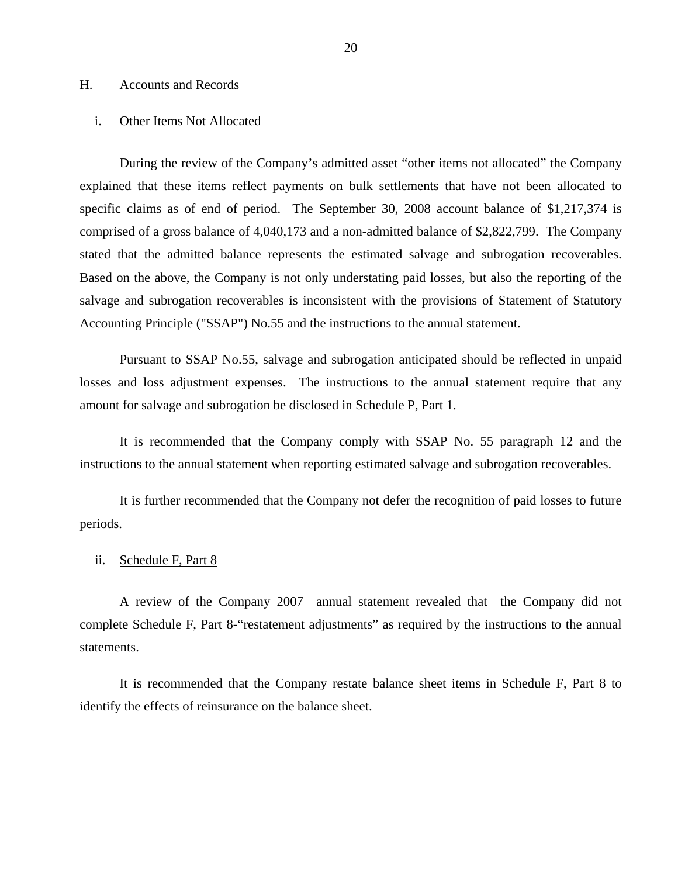#### <span id="page-21-0"></span>H. Accounts and Records

#### i. Other Items Not Allocated

During the review of the Company's admitted asset "other items not allocated" the Company explained that these items reflect payments on bulk settlements that have not been allocated to specific claims as of end of period. The September 30, 2008 account balance of \$1,217,374 is comprised of a gross balance of 4,040,173 and a non-admitted balance of \$2,822,799. The Company stated that the admitted balance represents the estimated salvage and subrogation recoverables. Based on the above, the Company is not only understating paid losses, but also the reporting of the salvage and subrogation recoverables is inconsistent with the provisions of Statement of Statutory Accounting Principle ("SSAP") No.55 and the instructions to the annual statement.

Pursuant to SSAP No.55, salvage and subrogation anticipated should be reflected in unpaid losses and loss adjustment expenses. The instructions to the annual statement require that any amount for salvage and subrogation be disclosed in Schedule P, Part 1.

It is recommended that the Company comply with SSAP No. 55 paragraph 12 and the instructions to the annual statement when reporting estimated salvage and subrogation recoverables.

It is further recommended that the Company not defer the recognition of paid losses to future periods.

## ii. Schedule F, Part 8

A review of the Company 2007 annual statement revealed that the Company did not complete Schedule F, Part 8-"restatement adjustments" as required by the instructions to the annual statements.

It is recommended that the Company restate balance sheet items in Schedule F, Part 8 to identify the effects of reinsurance on the balance sheet.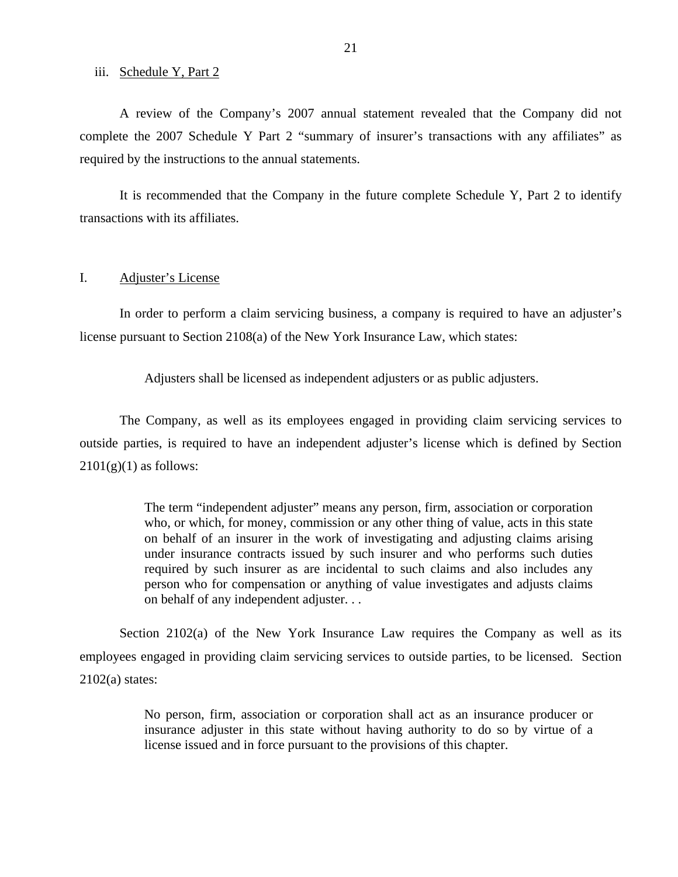#### <span id="page-22-0"></span>iii. Schedule Y, Part 2

A review of the Company's 2007 annual statement revealed that the Company did not complete the 2007 Schedule Y Part 2 "summary of insurer's transactions with any affiliates" as required by the instructions to the annual statements.

It is recommended that the Company in the future complete Schedule Y, Part 2 to identify transactions with its affiliates.

## I. Adjuster's License

In order to perform a claim servicing business, a company is required to have an adjuster's license pursuant to Section 2108(a) of the New York Insurance Law, which states:

Adjusters shall be licensed as independent adjusters or as public adjusters.

The Company, as well as its employees engaged in providing claim servicing services to outside parties, is required to have an independent adjuster's license which is defined by Section  $2101(g)(1)$  as follows:

> The term "independent adjuster" means any person, firm, association or corporation who, or which, for money, commission or any other thing of value, acts in this state on behalf of an insurer in the work of investigating and adjusting claims arising under insurance contracts issued by such insurer and who performs such duties required by such insurer as are incidental to such claims and also includes any person who for compensation or anything of value investigates and adjusts claims on behalf of any independent adjuster. . .

Section 2102(a) of the New York Insurance Law requires the Company as well as its employees engaged in providing claim servicing services to outside parties, to be licensed. Section  $2102(a)$  states:

> No person, firm, association or corporation shall act as an insurance producer or insurance adjuster in this state without having authority to do so by virtue of a license issued and in force pursuant to the provisions of this chapter.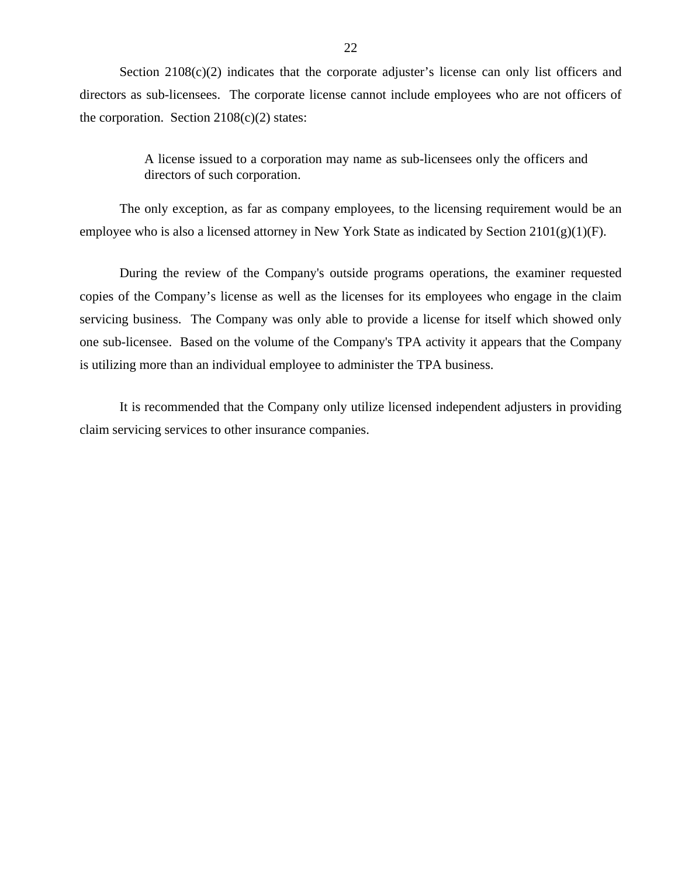Section 2108(c)(2) indicates that the corporate adjuster's license can only list officers and directors as sub-licensees. The corporate license cannot include employees who are not officers of the corporation. Section  $2108(c)(2)$  states:

> A license issued to a corporation may name as sub-licensees only the officers and directors of such corporation.

The only exception, as far as company employees, to the licensing requirement would be an employee who is also a licensed attorney in New York State as indicated by Section 2101(g)(1)(F).

During the review of the Company's outside programs operations, the examiner requested copies of the Company's license as well as the licenses for its employees who engage in the claim servicing business. The Company was only able to provide a license for itself which showed only one sub-licensee. Based on the volume of the Company's TPA activity it appears that the Company is utilizing more than an individual employee to administer the TPA business.

It is recommended that the Company only utilize licensed independent adjusters in providing claim servicing services to other insurance companies.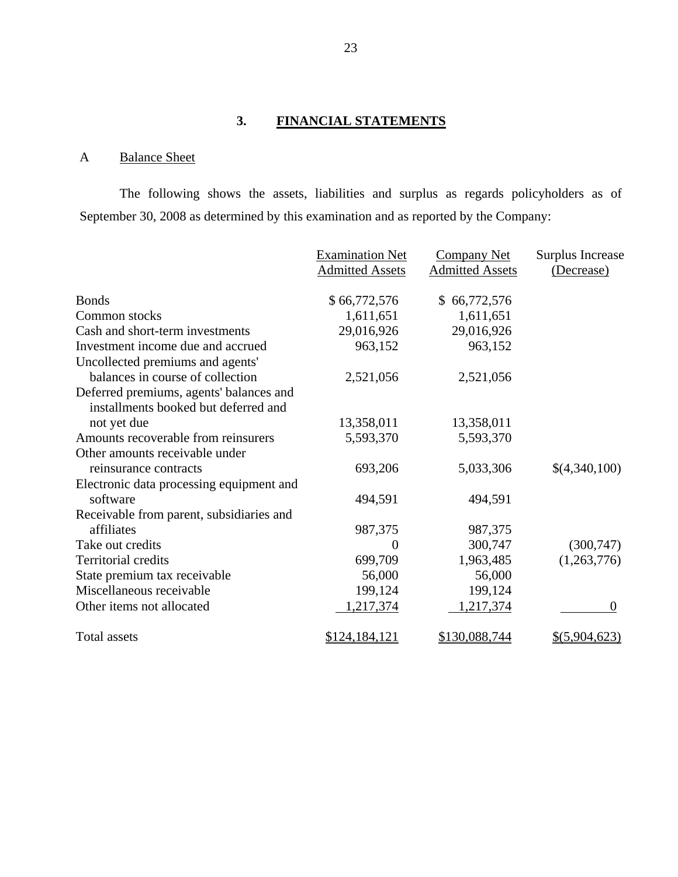## **3. FINANCIAL STATEMENTS**

## <span id="page-24-0"></span>A Balance Sheet

The following shows the assets, liabilities and surplus as regards policyholders as of September 30, 2008 as determined by this examination and as reported by the Company:

|                                          | <b>Examination Net</b> | <b>Company Net</b>     | <b>Surplus Increase</b> |
|------------------------------------------|------------------------|------------------------|-------------------------|
|                                          | <b>Admitted Assets</b> | <b>Admitted Assets</b> | (Decrease)              |
|                                          |                        |                        |                         |
| <b>Bonds</b>                             | \$66,772,576           | \$66,772,576           |                         |
| Common stocks                            | 1,611,651              | 1,611,651              |                         |
| Cash and short-term investments          | 29,016,926             | 29,016,926             |                         |
| Investment income due and accrued        | 963,152                | 963,152                |                         |
| Uncollected premiums and agents'         |                        |                        |                         |
| balances in course of collection         | 2,521,056              | 2,521,056              |                         |
| Deferred premiums, agents' balances and  |                        |                        |                         |
| installments booked but deferred and     |                        |                        |                         |
| not yet due                              | 13,358,011             | 13,358,011             |                         |
| Amounts recoverable from reinsurers      | 5,593,370              | 5,593,370              |                         |
| Other amounts receivable under           |                        |                        |                         |
| reinsurance contracts                    | 693,206                | 5,033,306              | \$(4,340,100)           |
| Electronic data processing equipment and |                        |                        |                         |
| software                                 | 494,591                | 494,591                |                         |
| Receivable from parent, subsidiaries and |                        |                        |                         |
| affiliates                               | 987,375                | 987,375                |                         |
| Take out credits                         | $\theta$               | 300,747                | (300, 747)              |
| <b>Territorial credits</b>               | 699,709                | 1,963,485              | (1,263,776)             |
| State premium tax receivable             | 56,000                 | 56,000                 |                         |
| Miscellaneous receivable                 | 199,124                | 199,124                |                         |
| Other items not allocated                | 1,217,374              | 1,217,374              | $\theta$                |
|                                          |                        |                        |                         |
| Total assets                             | \$124,184,121          | \$130,088,744          | \$ (5,904,623)          |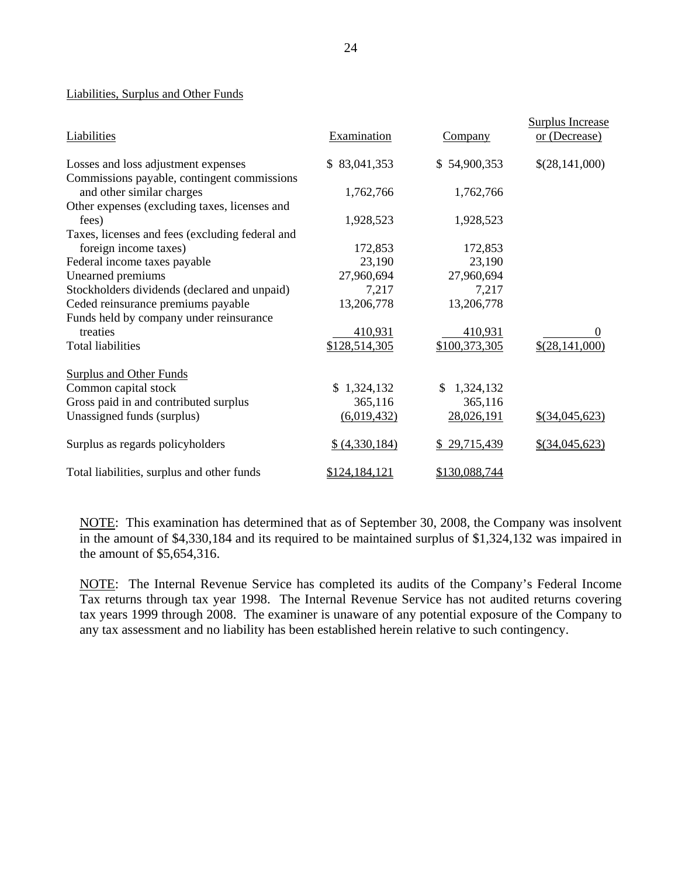### Liabilities, Surplus and Other Funds

| <b>Liabilities</b>                              | Examination    | Company          | <b>Surplus Increase</b><br>or (Decrease) |
|-------------------------------------------------|----------------|------------------|------------------------------------------|
| Losses and loss adjustment expenses             | \$83,041,353   | \$54,900,353     | \$(28,141,000)                           |
| Commissions payable, contingent commissions     |                |                  |                                          |
| and other similar charges                       | 1,762,766      | 1,762,766        |                                          |
| Other expenses (excluding taxes, licenses and   |                |                  |                                          |
| fees)                                           | 1,928,523      | 1,928,523        |                                          |
| Taxes, licenses and fees (excluding federal and |                |                  |                                          |
| foreign income taxes)                           | 172,853        | 172,853          |                                          |
| Federal income taxes payable                    | 23,190         | 23,190           |                                          |
| Unearned premiums                               | 27,960,694     | 27,960,694       |                                          |
| Stockholders dividends (declared and unpaid)    | 7,217          | 7,217            |                                          |
| Ceded reinsurance premiums payable              | 13,206,778     | 13,206,778       |                                          |
| Funds held by company under reinsurance         |                |                  |                                          |
| treaties                                        | 410,931        | 410,931          |                                          |
| <b>Total liabilities</b>                        | \$128,514,305  | \$100,373,305    | \$(28,141,000)                           |
| <b>Surplus and Other Funds</b>                  |                |                  |                                          |
| Common capital stock                            | \$1,324,132    | 1,324,132<br>\$. |                                          |
| Gross paid in and contributed surplus           | 365,116        | 365,116          |                                          |
| Unassigned funds (surplus)                      | (6,019,432)    | 28,026,191       | $$$ (34,045,623)                         |
| Surplus as regards policyholders                | \$ (4,330,184) | \$29,715,439     | $$$ (34,045,623)                         |
| Total liabilities, surplus and other funds      | \$124,184,121  | \$130,088,744    |                                          |

NOTE: This examination has determined that as of September 30, 2008, the Company was insolvent in the amount of \$4,330,184 and its required to be maintained surplus of \$1,324,132 was impaired in the amount of \$5,654,316.

NOTE: The Internal Revenue Service has completed its audits of the Company's Federal Income Tax returns through tax year 1998. The Internal Revenue Service has not audited returns covering tax years 1999 through 2008. The examiner is unaware of any potential exposure of the Company to any tax assessment and no liability has been established herein relative to such contingency.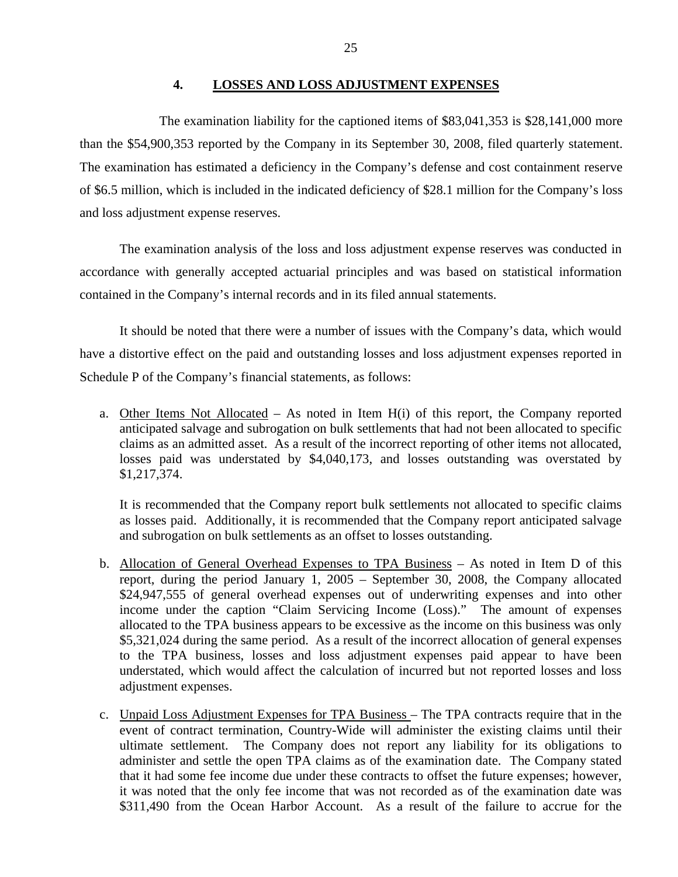## **4. LOSSES AND LOSS ADJUSTMENT EXPENSES**

<span id="page-26-0"></span>The examination liability for the captioned items of \$83,041,353 is \$28,141,000 more than the \$54,900,353 reported by the Company in its September 30, 2008, filed quarterly statement. The examination has estimated a deficiency in the Company's defense and cost containment reserve of \$6.5 million, which is included in the indicated deficiency of \$28.1 million for the Company's loss and loss adjustment expense reserves.

The examination analysis of the loss and loss adjustment expense reserves was conducted in accordance with generally accepted actuarial principles and was based on statistical information contained in the Company's internal records and in its filed annual statements.

It should be noted that there were a number of issues with the Company's data, which would have a distortive effect on the paid and outstanding losses and loss adjustment expenses reported in Schedule P of the Company's financial statements, as follows:

a. Other Items Not Allocated – As noted in Item H(i) of this report, the Company reported anticipated salvage and subrogation on bulk settlements that had not been allocated to specific claims as an admitted asset. As a result of the incorrect reporting of other items not allocated, losses paid was understated by \$4,040,173, and losses outstanding was overstated by \$1,217,374.

It is recommended that the Company report bulk settlements not allocated to specific claims as losses paid. Additionally, it is recommended that the Company report anticipated salvage and subrogation on bulk settlements as an offset to losses outstanding.

- b. Allocation of General Overhead Expenses to TPA Business As noted in Item D of this report, during the period January 1, 2005 – September 30, 2008, the Company allocated \$24,947,555 of general overhead expenses out of underwriting expenses and into other income under the caption "Claim Servicing Income (Loss)." The amount of expenses allocated to the TPA business appears to be excessive as the income on this business was only \$5,321,024 during the same period. As a result of the incorrect allocation of general expenses to the TPA business, losses and loss adjustment expenses paid appear to have been understated, which would affect the calculation of incurred but not reported losses and loss adjustment expenses.
- c. Unpaid Loss Adjustment Expenses for TPA Business The TPA contracts require that in the event of contract termination, Country-Wide will administer the existing claims until their ultimate settlement. The Company does not report any liability for its obligations to administer and settle the open TPA claims as of the examination date. The Company stated that it had some fee income due under these contracts to offset the future expenses; however, it was noted that the only fee income that was not recorded as of the examination date was \$311,490 from the Ocean Harbor Account. As a result of the failure to accrue for the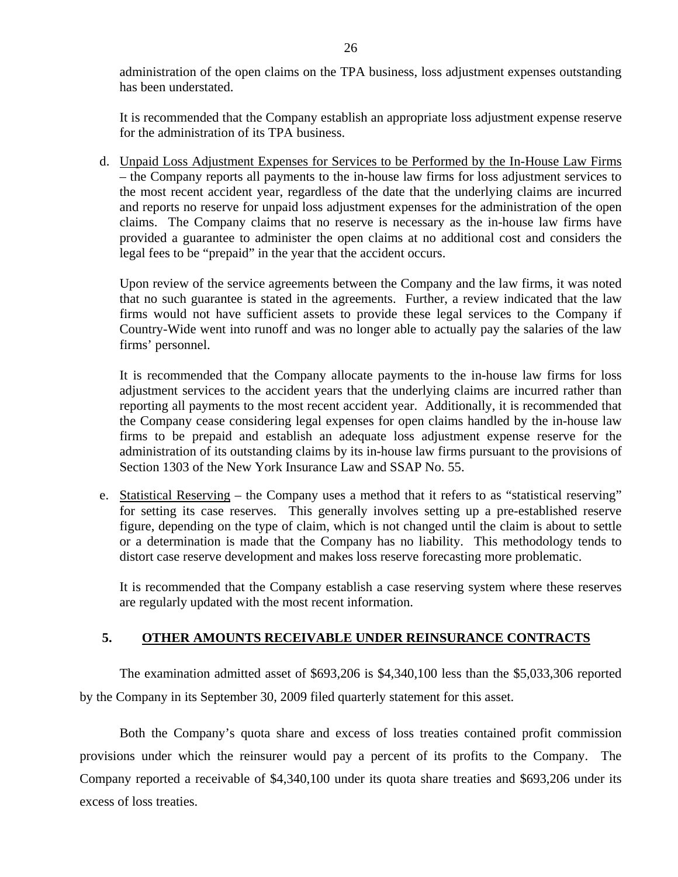<span id="page-27-0"></span>administration of the open claims on the TPA business, loss adjustment expenses outstanding has been understated.

It is recommended that the Company establish an appropriate loss adjustment expense reserve for the administration of its TPA business.

d. Unpaid Loss Adjustment Expenses for Services to be Performed by the In-House Law Firms – the Company reports all payments to the in-house law firms for loss adjustment services to the most recent accident year, regardless of the date that the underlying claims are incurred and reports no reserve for unpaid loss adjustment expenses for the administration of the open claims. The Company claims that no reserve is necessary as the in-house law firms have provided a guarantee to administer the open claims at no additional cost and considers the legal fees to be "prepaid" in the year that the accident occurs.

Upon review of the service agreements between the Company and the law firms, it was noted that no such guarantee is stated in the agreements. Further, a review indicated that the law firms would not have sufficient assets to provide these legal services to the Company if Country-Wide went into runoff and was no longer able to actually pay the salaries of the law firms' personnel.

It is recommended that the Company allocate payments to the in-house law firms for loss adjustment services to the accident years that the underlying claims are incurred rather than reporting all payments to the most recent accident year. Additionally, it is recommended that the Company cease considering legal expenses for open claims handled by the in-house law firms to be prepaid and establish an adequate loss adjustment expense reserve for the administration of its outstanding claims by its in-house law firms pursuant to the provisions of Section 1303 of the New York Insurance Law and SSAP No. 55.

e. Statistical Reserving – the Company uses a method that it refers to as "statistical reserving" for setting its case reserves. This generally involves setting up a pre-established reserve figure, depending on the type of claim, which is not changed until the claim is about to settle or a determination is made that the Company has no liability. This methodology tends to distort case reserve development and makes loss reserve forecasting more problematic.

It is recommended that the Company establish a case reserving system where these reserves are regularly updated with the most recent information.

## **5. OTHER AMOUNTS RECEIVABLE UNDER REINSURANCE CONTRACTS**

The examination admitted asset of \$693,206 is \$4,340,100 less than the \$5,033,306 reported by the Company in its September 30, 2009 filed quarterly statement for this asset.

Both the Company's quota share and excess of loss treaties contained profit commission provisions under which the reinsurer would pay a percent of its profits to the Company. The Company reported a receivable of \$4,340,100 under its quota share treaties and \$693,206 under its excess of loss treaties.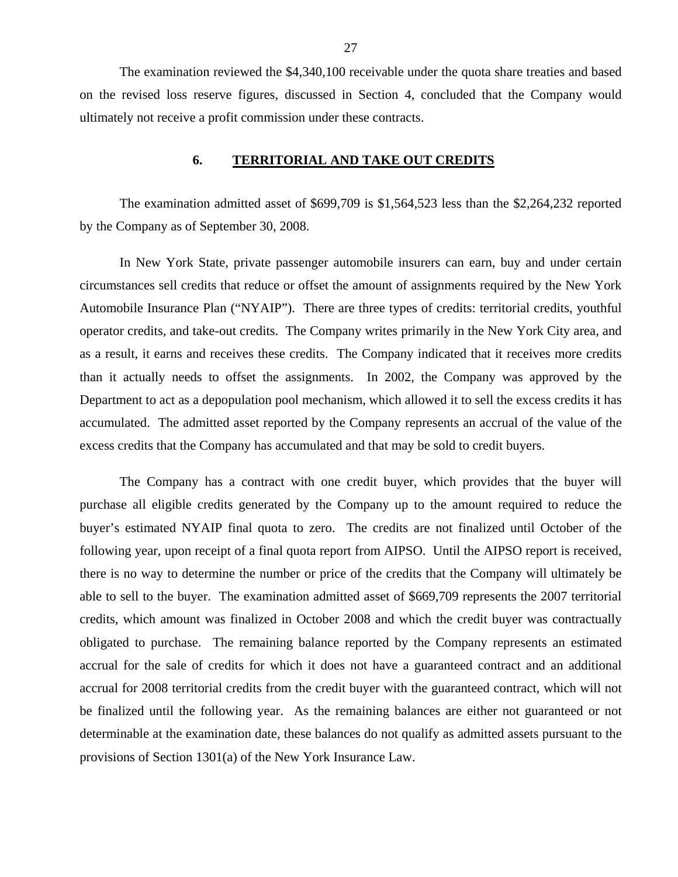<span id="page-28-0"></span>The examination reviewed the \$4,340,100 receivable under the quota share treaties and based on the revised loss reserve figures, discussed in Section 4, concluded that the Company would ultimately not receive a profit commission under these contracts.

#### **6. TERRITORIAL AND TAKE OUT CREDITS**

The examination admitted asset of \$699,709 is \$1,564,523 less than the \$2,264,232 reported by the Company as of September 30, 2008.

In New York State, private passenger automobile insurers can earn, buy and under certain circumstances sell credits that reduce or offset the amount of assignments required by the New York Automobile Insurance Plan ("NYAIP"). There are three types of credits: territorial credits, youthful operator credits, and take-out credits. The Company writes primarily in the New York City area, and as a result, it earns and receives these credits. The Company indicated that it receives more credits than it actually needs to offset the assignments. In 2002, the Company was approved by the Department to act as a depopulation pool mechanism, which allowed it to sell the excess credits it has accumulated. The admitted asset reported by the Company represents an accrual of the value of the excess credits that the Company has accumulated and that may be sold to credit buyers.

The Company has a contract with one credit buyer, which provides that the buyer will purchase all eligible credits generated by the Company up to the amount required to reduce the buyer's estimated NYAIP final quota to zero. The credits are not finalized until October of the following year, upon receipt of a final quota report from AIPSO. Until the AIPSO report is received, there is no way to determine the number or price of the credits that the Company will ultimately be able to sell to the buyer. The examination admitted asset of \$669,709 represents the 2007 territorial credits, which amount was finalized in October 2008 and which the credit buyer was contractually obligated to purchase. The remaining balance reported by the Company represents an estimated accrual for the sale of credits for which it does not have a guaranteed contract and an additional accrual for 2008 territorial credits from the credit buyer with the guaranteed contract, which will not be finalized until the following year. As the remaining balances are either not guaranteed or not determinable at the examination date, these balances do not qualify as admitted assets pursuant to the provisions of Section 1301(a) of the New York Insurance Law.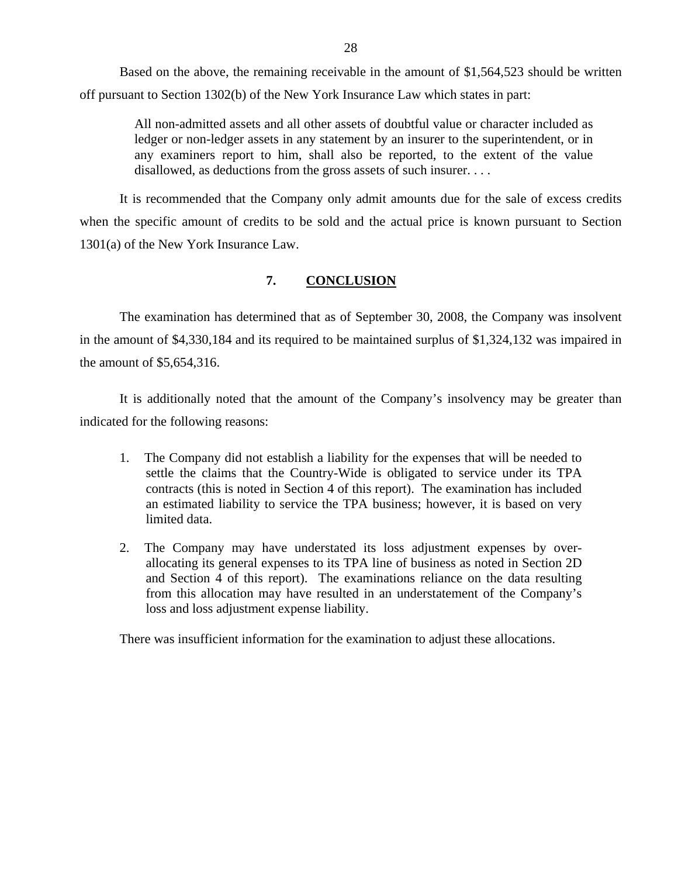<span id="page-29-0"></span>Based on the above, the remaining receivable in the amount of \$1,564,523 should be written off pursuant to Section 1302(b) of the New York Insurance Law which states in part:

> All non-admitted assets and all other assets of doubtful value or character included as ledger or non-ledger assets in any statement by an insurer to the superintendent, or in any examiners report to him, shall also be reported, to the extent of the value disallowed, as deductions from the gross assets of such insurer....

It is recommended that the Company only admit amounts due for the sale of excess credits when the specific amount of credits to be sold and the actual price is known pursuant to Section 1301(a) of the New York Insurance Law.

## **7. CONCLUSION**

The examination has determined that as of September 30, 2008, the Company was insolvent in the amount of \$4,330,184 and its required to be maintained surplus of \$1,324,132 was impaired in the amount of \$5,654,316.

It is additionally noted that the amount of the Company's insolvency may be greater than indicated for the following reasons:

- 1. The Company did not establish a liability for the expenses that will be needed to settle the claims that the Country-Wide is obligated to service under its TPA contracts (this is noted in Section 4 of this report). The examination has included an estimated liability to service the TPA business; however, it is based on very limited data.
- 2. The Company may have understated its loss adjustment expenses by overallocating its general expenses to its TPA line of business as noted in Section 2D and Section 4 of this report). The examinations reliance on the data resulting from this allocation may have resulted in an understatement of the Company's loss and loss adjustment expense liability.

There was insufficient information for the examination to adjust these allocations.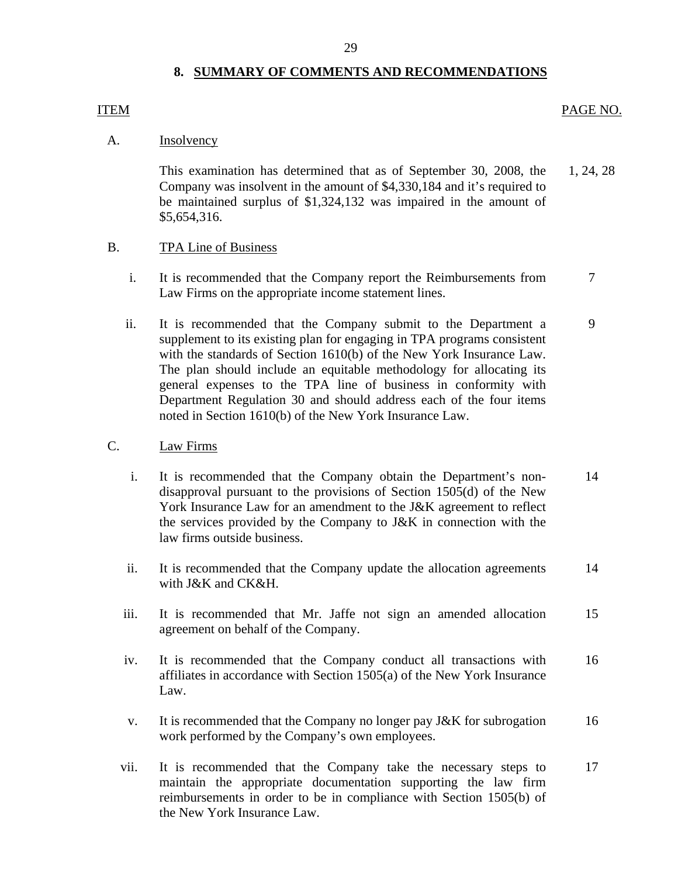## 29

## **8. SUMMARY OF COMMENTS AND RECOMMENDATIONS**

#### <span id="page-30-0"></span>ITEM

#### PAGE NO.

## A. Insolvency

This examination has determined that as of September 30, 2008, the Company was insolvent in the amount of \$4,330,184 and it's required to be maintained surplus of \$1,324,132 was impaired in the amount of \$5,654,316. 1, 24, 28

## B. TPA Line of Business

- i. It is recommended that the Company report the Reimbursements from Law Firms on the appropriate income statement lines. 7
- ii. It is recommended that the Company submit to the Department a supplement to its existing plan for engaging in TPA programs consistent with the standards of Section 1610(b) of the New York Insurance Law. The plan should include an equitable methodology for allocating its general expenses to the TPA line of business in conformity with Department Regulation 30 and should address each of the four items noted in Section 1610(b) of the New York Insurance Law. 9

## C. Law Firms

- i. It is recommended that the Company obtain the Department's nondisapproval pursuant to the provisions of Section 1505(d) of the New York Insurance Law for an amendment to the J&K agreement to reflect the services provided by the Company to J&K in connection with the law firms outside business. 14
- ii. It is recommended that the Company update the allocation agreements with J&K and CK&H. 14
- iii. It is recommended that Mr. Jaffe not sign an amended allocation agreement on behalf of the Company. 15
- iv. It is recommended that the Company conduct all transactions with affiliates in accordance with Section 1505(a) of the New York Insurance Law. 16
- v. It is recommended that the Company no longer pay J&K for subrogation work performed by the Company's own employees. 16
- vii. It is recommended that the Company take the necessary steps to 17 maintain the appropriate documentation supporting the law firm reimbursements in order to be in compliance with Section 1505(b) of the New York Insurance Law.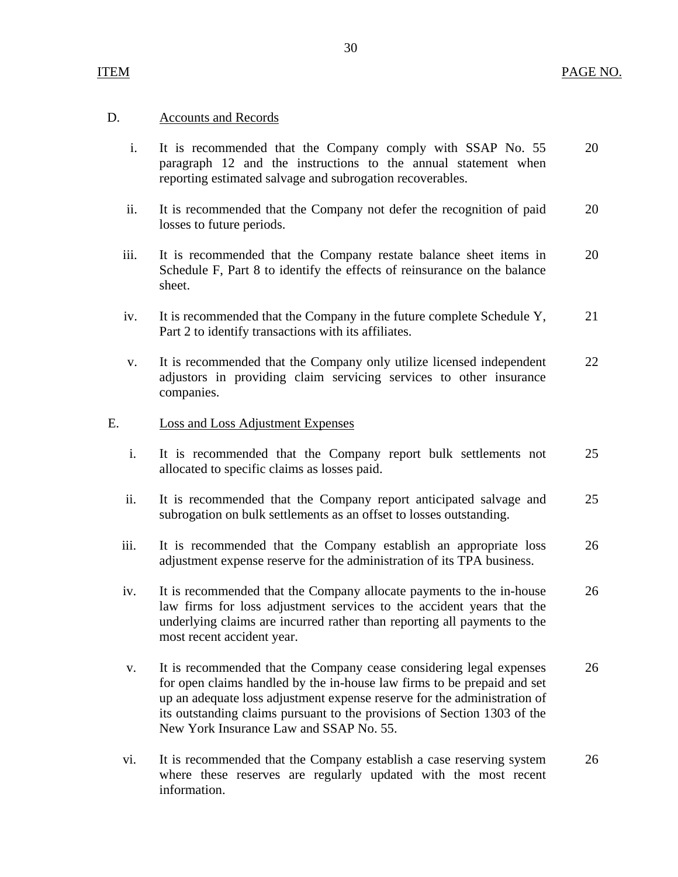## D. Accounts and Records

- i. It is recommended that the Company comply with SSAP No. 55 20 paragraph 12 and the instructions to the annual statement when reporting estimated salvage and subrogation recoverables.
- ii. It is recommended that the Company not defer the recognition of paid 20 losses to future periods.
- iii. It is recommended that the Company restate balance sheet items in 20 Schedule F, Part 8 to identify the effects of reinsurance on the balance sheet.
- iv. It is recommended that the Company in the future complete Schedule Y, 21 Part 2 to identify transactions with its affiliates.
- v. It is recommended that the Company only utilize licensed independent 22 adjustors in providing claim servicing services to other insurance companies.

## E. Loss and Loss Adjustment Expenses

- i. It is recommended that the Company report bulk settlements not 25 allocated to specific claims as losses paid.
- ii. It is recommended that the Company report anticipated salvage and 25 subrogation on bulk settlements as an offset to losses outstanding.
- iii. It is recommended that the Company establish an appropriate loss 26 adjustment expense reserve for the administration of its TPA business.
- iv. It is recommended that the Company allocate payments to the in-house 26 law firms for loss adjustment services to the accident years that the underlying claims are incurred rather than reporting all payments to the most recent accident year.
- v. It is recommended that the Company cease considering legal expenses 26 for open claims handled by the in-house law firms to be prepaid and set up an adequate loss adjustment expense reserve for the administration of its outstanding claims pursuant to the provisions of Section 1303 of the New York Insurance Law and SSAP No. 55.
- vi. It is recommended that the Company establish a case reserving system 26 where these reserves are regularly updated with the most recent information.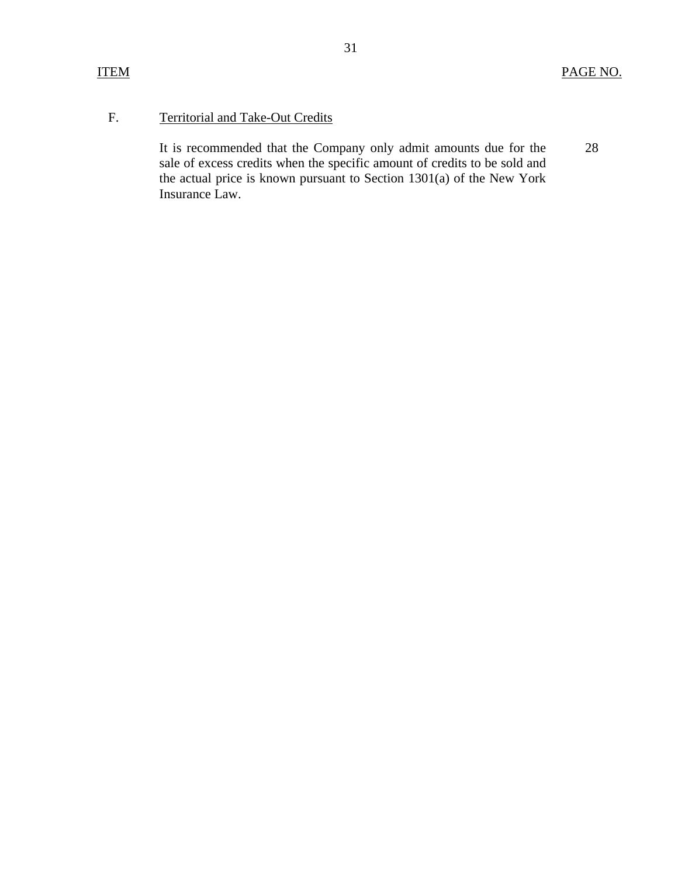## F. Territorial and Take-Out Credits

It is recommended that the Company only admit amounts due for the 28 sale of excess credits when the specific amount of credits to be sold and the actual price is known pursuant to Section 1301(a) of the New York Insurance Law.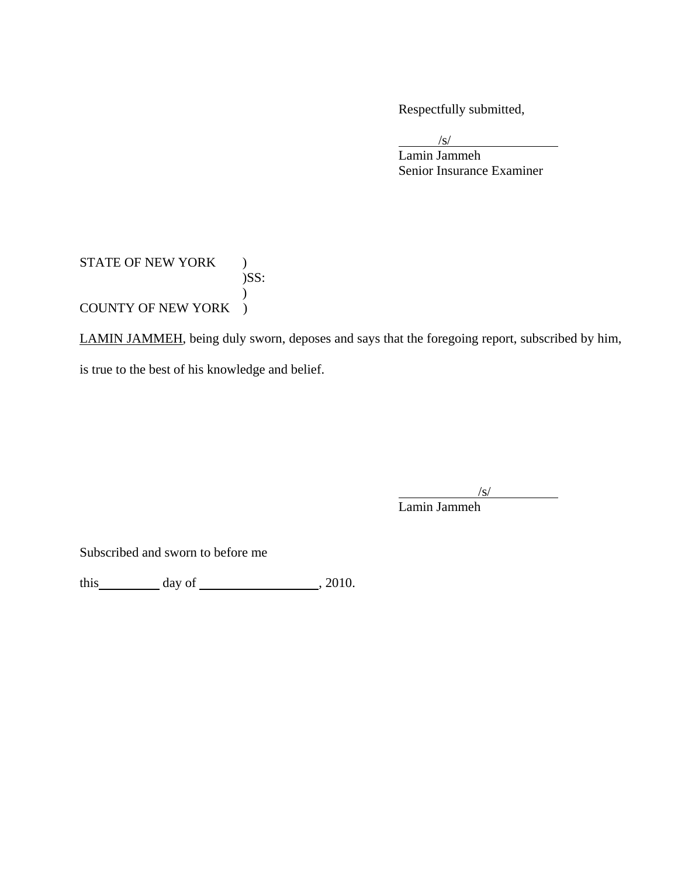Respectfully submitted,

 $\sqrt{s}$ 

 Lamin Jammeh Senior Insurance Examiner

## STATE OF NEW YORK ) )SS:  $\mathcal{L}$ COUNTY OF NEW YORK )

LAMIN JAMMEH, being duly sworn, deposes and says that the foregoing report, subscribed by him, is true to the best of his knowledge and belief.

 $\sqrt{s}$ 

Lamin Jammeh

Subscribed and sworn to before me

this  $\_\_\_\_\_$  day of  $\_\_\_\_\_\_$ , 2010.